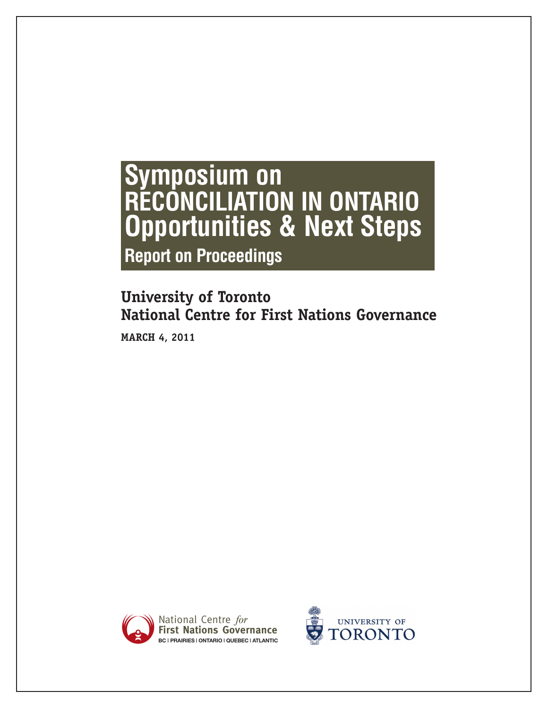# **Symposium on RECONCILIATION IN ONTARIO Opportunities & Next Steps Report on Proceedings**

## **University of Toronto National Centre for First Nations Governance**

**MARCH 4, 2011**



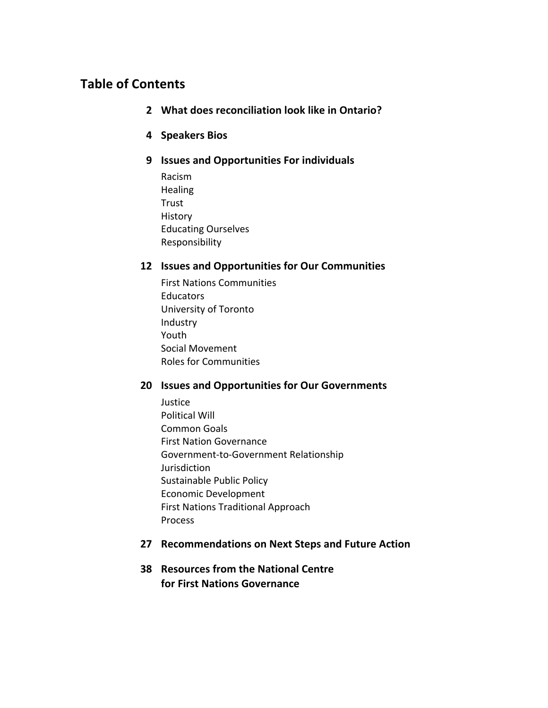## **Table
of
Contents**

- **2 What
does
reconciliation
look
like
in
Ontario?**
- **4 Speakers
Bios**
- **9 Issues
and
Opportunities
For
individuals**
	- Racism **Healing Trust** History Educating
	Ourselves Responsibility

## **12 Issues
and
Opportunities
for
Our
Communities**

First
Nations
Communities **Educators** University
of
Toronto Industry Youth Social
Movement Roles
for
Communities

## **20 Issues
and
Opportunities
for
Our
Governments**

Justice Political
Will Common
Goals First
Nation
Governance Government‐to‐Government
Relationship Jurisdiction Sustainable
Public
Policy Economic
Development First
Nations
Traditional
Approach Process

## **27 Recommendations
on
Next
Steps
and
Future
Action**

**38 Resources
from
the
National
Centre for
First
Nations
Governance**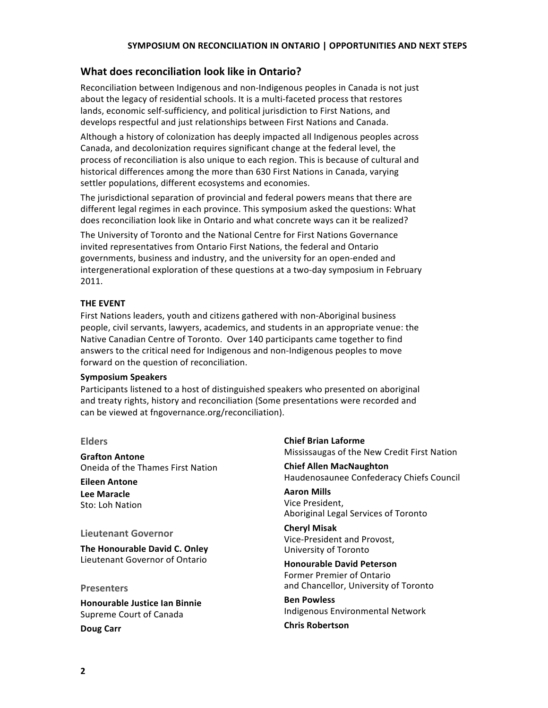## What does reconciliation look like in Ontario?

Reconciliation between Indigenous and non-Indigenous peoples in Canada is not just about the legacy of residential schools. It is a multi-faceted process that restores lands, economic self-sufficiency, and political jurisdiction to First Nations, and develops respectful and just relationships between First Nations and Canada.

Although
a
history
of
colonization
has
deeply
impacted
all
Indigenous
peoples
across Canada, and decolonization requires significant change at the federal level, the process of reconciliation is also unique to each region. This is because of cultural and historical differences among the more than 630 First Nations in Canada, varying settler
populations,
different
ecosystems
and
economies.

The jurisdictional separation of provincial and federal powers means that there are different legal regimes in each province. This symposium asked the questions: What does reconciliation look like in Ontario and what concrete ways can it be realized?

The
University
of
Toronto
and
the
National
Centre
for
First
Nations
Governance invited representatives from Ontario First Nations, the federal and Ontario governments,
business
and
industry,
and
the
university
for
an
open‐ended
and intergenerational exploration of these questions at a two-day symposium in February 2011.

## **THE
EVENT**

First
Nations
leaders,
youth
and
citizens
gathered
with
non‐Aboriginal
business people,
civil
servants,
lawyers,
academics,
and
students
in
an
appropriate
venue:
the Native Canadian Centre of Toronto. Over 140 participants came together to find answers to the critical need for Indigenous and non-Indigenous peoples to move forward on the question of reconciliation.

#### **Symposium
Speakers**

Participants listened to a host of distinguished speakers who presented on aboriginal and
treaty
rights,
history
and
reconciliation
(Some
presentations
were
recorded
and can
be
viewed
at
fngovernance.org/reconciliation).

**Elders**

**Grafton
Antone**  Oneida
of
the
Thames
First
Nation

**Eileen
Antone Lee
Maracle** Sto:
Loh
Nation

#### **Lieutenant
Governor**

**The
Honourable
David
C.
Onley** Lieutenant Governor of Ontario

**Presenters**

**Honourable
Justice
Ian
Binnie** Supreme
Court
of
Canada **Doug
Carr**

**Chief
Brian
Laforme** Mississaugas
of
the
New
Credit
First
Nation

**Chief
Allen
MacNaughton** Haudenosaunee
Confederacy
Chiefs
Council

**Aaron
Mills** Vice
President, Aboriginal
Legal
Services
of
Toronto

**Cheryl
Misak** Vice‐President
and
Provost, University
of
Toronto

**Honourable
David
Peterson** Former
Premier
of
Ontario and
Chancellor,
University
of
Toronto

**Ben
Powless** Indigenous
Environmental
Network

**Chris
Robertson**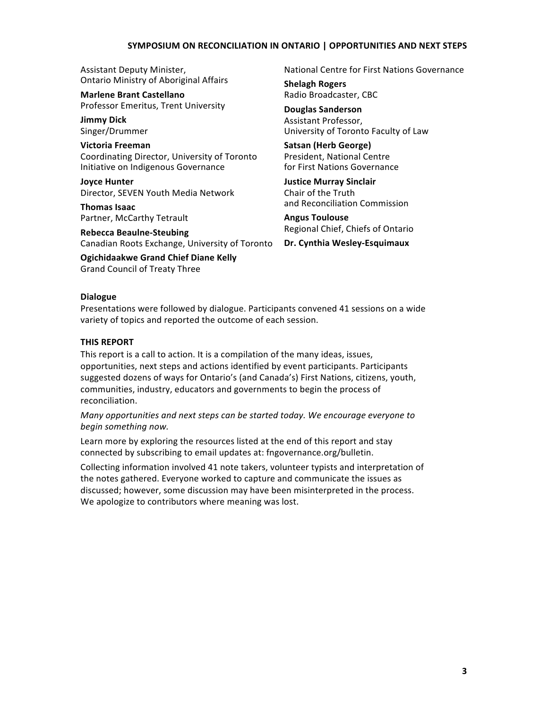Assistant
Deputy
Minister, Ontario
Ministry
of
Aboriginal
Affairs

**Marlene
Brant
Castellano** Professor
Emeritus,
Trent
University

**Jimmy
Dick** Singer/Drummer

**Victoria
Freeman** Coordinating
Director,
University
of
Toronto Initiative
on
Indigenous
Governance

**Joyce
Hunter** Director,
SEVEN
Youth
Media
Network

**Thomas
Isaac** Partner,
McCarthy
Tetrault

**Rebecca
Beaulne‐Steubing** Canadian
Roots
Exchange,
University
of
Toronto

**Ogichidaakwe
Grand
Chief
Diane
Kelly** Grand
Council
of
Treaty
Three

National
Centre
for
First
Nations
Governance

**Shelagh
Rogers** Radio
Broadcaster,
CBC

**Douglas
Sanderson** Assistant
Professor, University
of
Toronto
Faculty
of
Law

**Satsan
(Herb
George)** President,
National
Centre for
First
Nations
Governance

**Justice
Murray
Sinclair** Chair
of
the
Truth and
Reconciliation
Commission

**Angus
Toulouse** Regional
Chief,
Chiefs
of
Ontario

**Dr.
Cynthia
Wesley‐Esquimaux**

#### **Dialogue**

Presentations were followed by dialogue. Participants convened 41 sessions on a wide variety
of
topics
and
reported
the
outcome
of
each
session.

#### **THIS
REPORT**

This report is a call to action. It is a compilation of the many ideas, issues, opportunities,
next
steps
and
actions
identified
by
event
participants.
Participants suggested dozens of ways for Ontario's (and Canada's) First Nations, citizens, youth, communities,
industry,
educators
and
governments
to
begin
the
process
of reconciliation.

Many opportunities and next steps can be started today. We encourage everyone to *begin
something
now.*

Learn more by exploring the resources listed at the end of this report and stay connected
by
subscribing
to
email
updates
at:
fngovernance.org/bulletin.

Collecting information involved 41 note takers, volunteer typists and interpretation of the
notes
gathered.
Everyone
worked
to
capture
and
communicate
the
issues
as discussed; however, some discussion may have been misinterpreted in the process. We apologize to contributors where meaning was lost.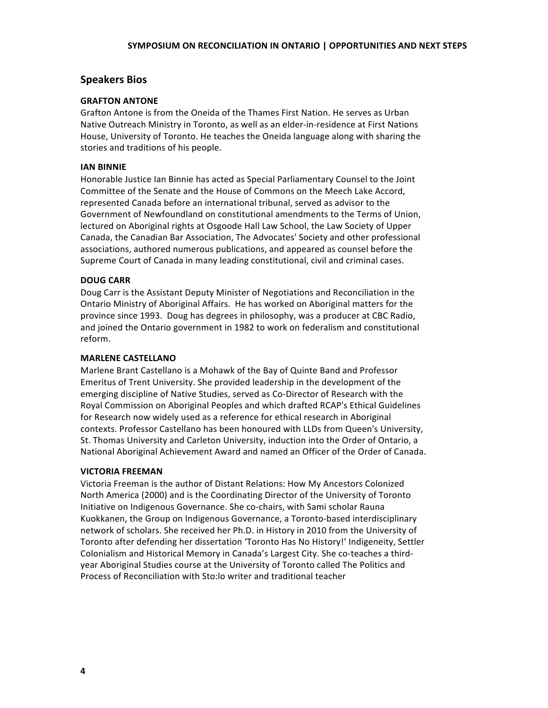## **Speakers
Bios**

#### **GRAFTON
ANTONE**

Grafton Antone is from the Oneida of the Thames First Nation. He serves as Urban Native Outreach Ministry in Toronto, as well as an elder-in-residence at First Nations House, University of Toronto. He teaches the Oneida language along with sharing the stories
and
traditions
of
his
people.

#### **IAN
BINNIE**

Honorable Justice Ian Binnie has acted as Special Parliamentary Counsel to the Joint Committee of the Senate and the House of Commons on the Meech Lake Accord, represented Canada before an international tribunal, served as advisor to the Government of Newfoundland on constitutional amendments to the Terms of Union, lectured on Aboriginal rights at Osgoode Hall Law School, the Law Society of Upper Canada, the Canadian Bar Association, The Advocates' Society and other professional associations,
authored
numerous
publications,
and
appeared
as
counsel
before
the Supreme Court of Canada in many leading constitutional, civil and criminal cases.

#### **DOUG
CARR**

Doug Carr is the Assistant Deputy Minister of Negotiations and Reconciliation in the Ontario Ministry of Aboriginal Affairs. He has worked on Aboriginal matters for the province since 1993. Doug has degrees in philosophy, was a producer at CBC Radio, and
joined
the
Ontario
government
in
1982
to
work
on
federalism
and
constitutional reform.

#### **MARLENE
CASTELLANO**

Marlene Brant Castellano is a Mohawk of the Bay of Quinte Band and Professor Emeritus
of
Trent
University.
She
provided
leadership
in
the
development
of
the emerging discipline of Native Studies, served as Co-Director of Research with the Royal
Commission
on
Aboriginal
Peoples
and
which
drafted
RCAP's
Ethical
Guidelines for Research now widely used as a reference for ethical research in Aboriginal contexts.
Professor
Castellano
has
been
honoured
with
LLDs
from
Queen's
University, St. Thomas University and Carleton University, induction into the Order of Ontario, a National Aboriginal Achievement Award and named an Officer of the Order of Canada.

#### **VICTORIA
FREEMAN**

Victoria Freeman is the author of Distant Relations: How My Ancestors Colonized North America (2000) and is the Coordinating Director of the University of Toronto Initiative on Indigenous Governance. She co-chairs, with Sami scholar Rauna Kuokkanen,
the
Group
on
Indigenous
Governance,
a
Toronto‐based
interdisciplinary network
of
scholars.
She
received
her
Ph.D.
in
History
in
2010
from
the
University
of Toronto after defending her dissertation 'Toronto Has No History!' Indigeneity, Settler Colonialism and Historical Memory in Canada's Largest City. She co-teaches a thirdyear Aboriginal Studies course at the University of Toronto called The Politics and Process
of
Reconciliation
with
Sto:lo
writer
and
traditional
teacher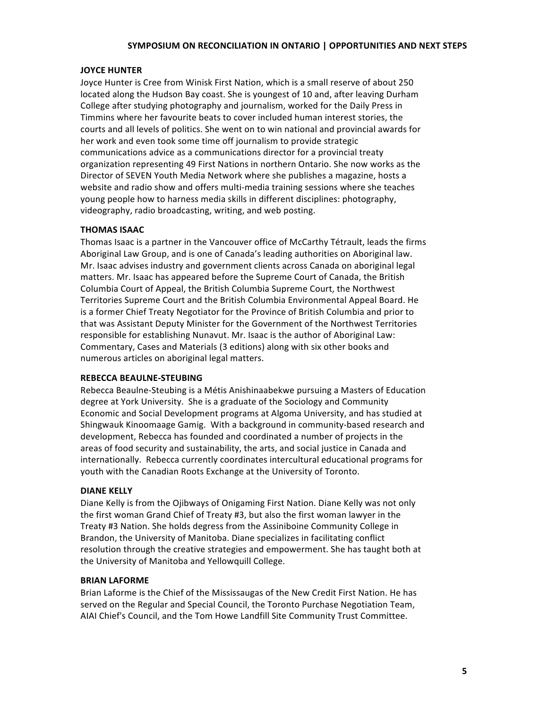## **JOYCE
HUNTER**

Joyce Hunter is Cree from Winisk First Nation, which is a small reserve of about 250 located along the Hudson Bay coast. She is youngest of 10 and, after leaving Durham College after studying photography and journalism, worked for the Daily Press in Timmins
where
her
favourite
beats
to
cover
included
human
interest
stories,
the courts and all levels of politics. She went on to win national and provincial awards for her work and even took some time off journalism to provide strategic communications advice as a communications director for a provincial treaty organization representing 49 First Nations in northern Ontario. She now works as the Director
of
SEVEN
Youth
Media
Network
where
she
publishes
a
magazine,
hosts
a website and radio show and offers multi-media training sessions where she teaches young
people
how
to
harness
media
skills
in
different
disciplines:
photography, videography,
radio
broadcasting,
writing,
and
web
posting.

## **THOMAS
ISAAC**

Thomas Isaac is a partner in the Vancouver office of McCarthy Tétrault, leads the firms Aboriginal Law Group, and is one of Canada's leading authorities on Aboriginal law. Mr. Isaac advises industry and government clients across Canada on aboriginal legal matters. Mr. Isaac has appeared before the Supreme Court of Canada, the British Columbia
Court
of
Appeal,
the
British
Columbia
Supreme
Court,
the
Northwest Territories Supreme Court and the British Columbia Environmental Appeal Board. He is a former Chief Treaty Negotiator for the Province of British Columbia and prior to that was Assistant Deputy Minister for the Government of the Northwest Territories responsible for establishing Nunavut. Mr. Isaac is the author of Aboriginal Law: Commentary,
Cases
and
Materials
(3
editions)
along
with
six
other
books
and numerous
articles
on
aboriginal
legal
matters.

## **REBECCA
BEAULNE‐STEUBING**

Rebecca Beaulne-Steubing is a Métis Anishinaabekwe pursuing a Masters of Education degree at York University. She is a graduate of the Sociology and Community Economic
and
Social
Development
programs
at
Algoma
University,
and
has
studied
at Shingwauk
Kinoomaage
Gamig.

With
a
background
in
community‐based
research
and development,
Rebecca
has
founded
and
coordinated
a
number
of
projects
in
the areas of food security and sustainability, the arts, and social justice in Canada and internationally. Rebecca currently coordinates intercultural educational programs for youth with the Canadian Roots Exchange at the University of Toronto.

## **DIANE
KELLY**

Diane Kelly is from the Ojibways of Onigaming First Nation. Diane Kelly was not only the first woman Grand Chief of Treaty #3, but also the first woman lawyer in the Treaty
#3
Nation.
She
holds
degress
from
the
Assiniboine
Community
College
in Brandon,
the
University
of
Manitoba.
Diane
specializes
in
facilitating
conflict resolution through the creative strategies and empowerment. She has taught both at the
University
of
Manitoba
and
Yellowquill
College.

#### **BRIAN
LAFORME**

Brian Laforme is the Chief of the Mississaugas of the New Credit First Nation. He has served on the Regular and Special Council, the Toronto Purchase Negotiation Team, AIAI
Chief's
Council,
and
the
Tom
Howe
Landfill
Site
Community
Trust
Committee.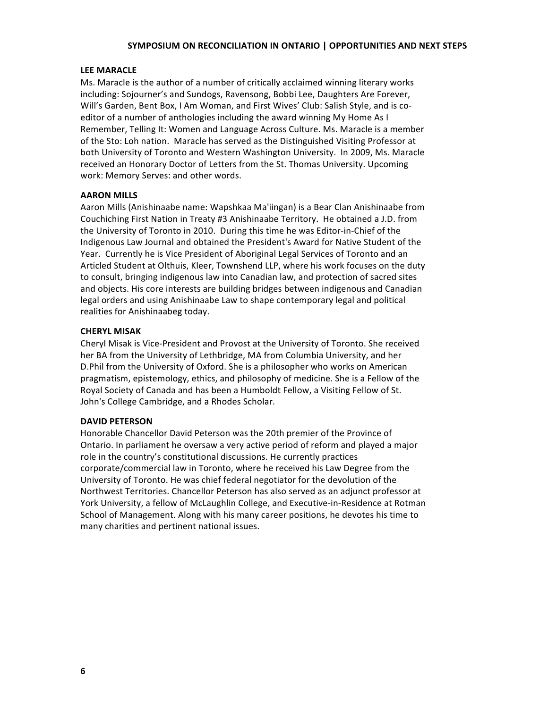#### **LEE
MARACLE**

Ms. Maracle is the author of a number of critically acclaimed winning literary works including:
Sojourner's
and
Sundogs,
Ravensong,
Bobbi
Lee,
Daughters
Are
Forever, Will's Garden, Bent Box, I Am Woman, and First Wives' Club: Salish Style, and is coeditor of a number of anthologies including the award winning My Home As I Remember, Telling It: Women and Language Across Culture. Ms. Maracle is a member of
the
Sto:
Loh
nation.

Maracle
has
served
as
the
Distinguished
Visiting
Professor
at both University of Toronto and Western Washington University. In 2009, Ms. Maracle received an Honorary Doctor of Letters from the St. Thomas University. Upcoming work: Memory Serves: and other words.

#### **AARON
MILLS**

Aaron
Mills
(Anishinaabe
name:
Wapshkaa
Ma'iingan)
is
a
Bear
Clan
Anishinaabe
from Couchiching First Nation in Treaty #3 Anishinaabe Territory. He obtained a J.D. from the University of Toronto in 2010. During this time he was Editor-in-Chief of the Indigenous Law Journal and obtained the President's Award for Native Student of the Year. Currently he is Vice President of Aboriginal Legal Services of Toronto and an Articled Student at Olthuis, Kleer, Townshend LLP, where his work focuses on the duty to consult, bringing indigenous law into Canadian law, and protection of sacred sites and objects. His core interests are building bridges between indigenous and Canadian legal orders and using Anishinaabe Law to shape contemporary legal and political realities
for
Anishinaabeg
today.

#### **CHERYL
MISAK**

Cheryl
Misak
is
Vice‐President
and
Provost
at
the
University
of
Toronto.
She
received her BA from the University of Lethbridge, MA from Columbia University, and her D. Phil from the University of Oxford. She is a philosopher who works on American pragmatism, epistemology, ethics, and philosophy of medicine. She is a Fellow of the Royal Society of Canada and has been a Humboldt Fellow, a Visiting Fellow of St. John's
College
Cambridge,
and
a
Rhodes
Scholar.

#### **DAVID
PETERSON**

Honorable Chancellor David Peterson was the 20th premier of the Province of Ontario. In parliament he oversaw a very active period of reform and played a major role
in
the
country's
constitutional
discussions.
He
currently
practices corporate/commercial
law
in
Toronto,
where
he
received
his
Law
Degree
from
the University of Toronto. He was chief federal negotiator for the devolution of the Northwest
Territories.
Chancellor
Peterson
has
also
served
as
an
adjunct
professor
at York University, a fellow of McLaughlin College, and Executive-in-Residence at Rotman School of Management. Along with his many career positions, he devotes his time to many
charities
and
pertinent
national
issues.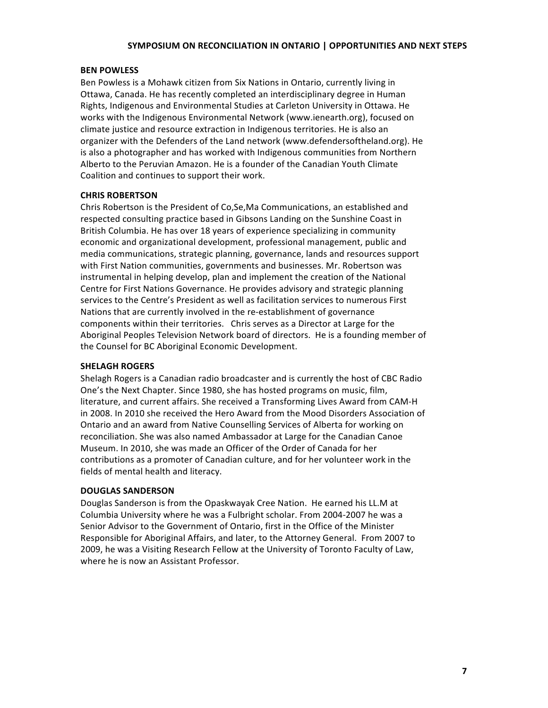#### **BEN
POWLESS**

Ben Powless is a Mohawk citizen from Six Nations in Ontario, currently living in Ottawa, Canada. He has recently completed an interdisciplinary degree in Human Rights,
Indigenous
and
Environmental
Studies
at
Carleton
University
in
Ottawa.
He works with the Indigenous Environmental Network (www.ienearth.org), focused on climate justice and resource extraction in Indigenous territories. He is also an organizer
with
the
Defenders
of
the
Land
network
(www.defendersoftheland.org).
He is also a photographer and has worked with Indigenous communities from Northern Alberto to the Peruvian Amazon. He is a founder of the Canadian Youth Climate Coalition
and
continues
to
support
their
work.

#### **CHRIS
ROBERTSON**

Chris Robertson is the President of Co, Se, Ma Communications, an established and respected consulting practice based in Gibsons Landing on the Sunshine Coast in British Columbia. He has over 18 years of experience specializing in community economic
and
organizational
development,
professional
management,
public
and media
communications,
strategic
planning,
governance,
lands
and
resources
support with First Nation communities, governments and businesses. Mr. Robertson was instrumental in helping develop, plan and implement the creation of the National Centre
for
First
Nations
Governance.
He
provides
advisory
and
strategic
planning services to the Centre's President as well as facilitation services to numerous First Nations that are currently involved in the re-establishment of governance components within their territories. Chris serves as a Director at Large for the Aboriginal Peoples Television Network board of directors. He is a founding member of the
Counsel
for
BC
Aboriginal
Economic
Development.

#### **SHELAGH
ROGERS**

Shelagh Rogers is a Canadian radio broadcaster and is currently the host of CBC Radio One's
the
Next
Chapter.
Since
1980,
she
has
hosted
programs
on
music,
film, literature, and current affairs. She received a Transforming Lives Award from CAM-H in 2008. In 2010 she received the Hero Award from the Mood Disorders Association of Ontario
and
an
award
from
Native
Counselling
Services
of
Alberta
for
working
on reconciliation.
She
was
also
named
Ambassador
at
Large
for
the
Canadian
Canoe Museum. In 2010, she was made an Officer of the Order of Canada for her contributions as a promoter of Canadian culture, and for her volunteer work in the fields
of
mental
health
and
literacy.

#### **DOUGLAS
SANDERSON**

Douglas Sanderson is from the Opaskwayak Cree Nation. He earned his LL.M at Columbia University where he was a Fulbright scholar. From 2004-2007 he was a Senior Advisor to the Government of Ontario, first in the Office of the Minister Responsible
for
Aboriginal
Affairs,
and
later,
to
the
Attorney
General.

From
2007
to 2009, he was a Visiting Research Fellow at the University of Toronto Faculty of Law, where he is now an Assistant Professor.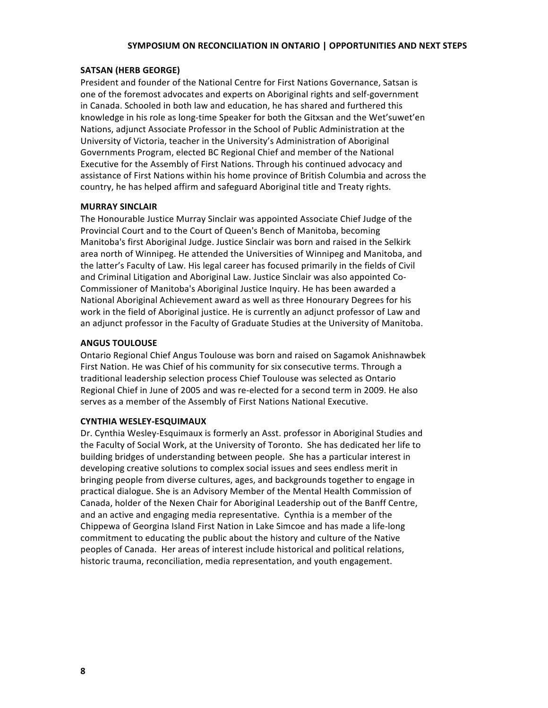## **SATSAN
(HERB
GEORGE)**

President and founder of the National Centre for First Nations Governance, Satsan is one
of
the
foremost
advocates
and
experts
on
Aboriginal
rights
and
self‐government in Canada. Schooled in both law and education, he has shared and furthered this knowledge in his role as long-time Speaker for both the Gitxsan and the Wet'suwet'en Nations, adjunct Associate Professor in the School of Public Administration at the University of Victoria, teacher in the University's Administration of Aboriginal Governments Program, elected BC Regional Chief and member of the National Executive
for
the
Assembly
of
First
Nations.
Through
his
continued
advocacy
and assistance of First Nations within his home province of British Columbia and across the country,
he
has
helped
affirm
and
safeguard
Aboriginal
title
and
Treaty
rights.

## **MURRAY
SINCLAIR**

The Honourable Justice Murray Sinclair was appointed Associate Chief Judge of the Provincial Court and to the Court of Queen's Bench of Manitoba, becoming Manitoba's first Aboriginal Judge. Justice Sinclair was born and raised in the Selkirk area north of Winnipeg. He attended the Universities of Winnipeg and Manitoba, and the latter's Faculty of Law. His legal career has focused primarily in the fields of Civil and Criminal Litigation and Aboriginal Law. Justice Sinclair was also appointed Co-Commissioner
of
Manitoba's
Aboriginal
Justice
Inquiry.
He
has
been
awarded
a National Aboriginal Achievement award as well as three Honourary Degrees for his work in the field of Aboriginal justice. He is currently an adjunct professor of Law and an adjunct professor in the Faculty of Graduate Studies at the University of Manitoba.

#### **ANGUS
TOULOUSE**

Ontario Regional Chief Angus Toulouse was born and raised on Sagamok Anishnawbek First Nation. He was Chief of his community for six consecutive terms. Through a traditional leadership selection process Chief Toulouse was selected as Ontario Regional Chief in June of 2005 and was re-elected for a second term in 2009. He also serves as a member of the Assembly of First Nations National Executive.

#### **CYNTHIA
WESLEY‐ESQUIMAUX**

Dr.
Cynthia
Wesley‐Esquimaux
is
formerly
an
Asst.
professor
in
Aboriginal
Studies
and the Faculty of Social Work, at the University of Toronto. She has dedicated her life to building bridges of understanding between people. She has a particular interest in developing creative solutions to complex social issues and sees endless merit in bringing
people
from
diverse
cultures,
ages,
and
backgrounds
together
to
engage
in practical dialogue. She is an Advisory Member of the Mental Health Commission of Canada, holder of the Nexen Chair for Aboriginal Leadership out of the Banff Centre, and an active and engaging media representative. Cynthia is a member of the Chippewa of Georgina Island First Nation in Lake Simcoe and has made a life-long commitment
to
educating
the
public
about
the
history
and
culture
of
the
Native peoples
of
Canada.

Her
areas
of
interest
include
historical
and
political
relations, historic trauma, reconciliation, media representation, and youth engagement.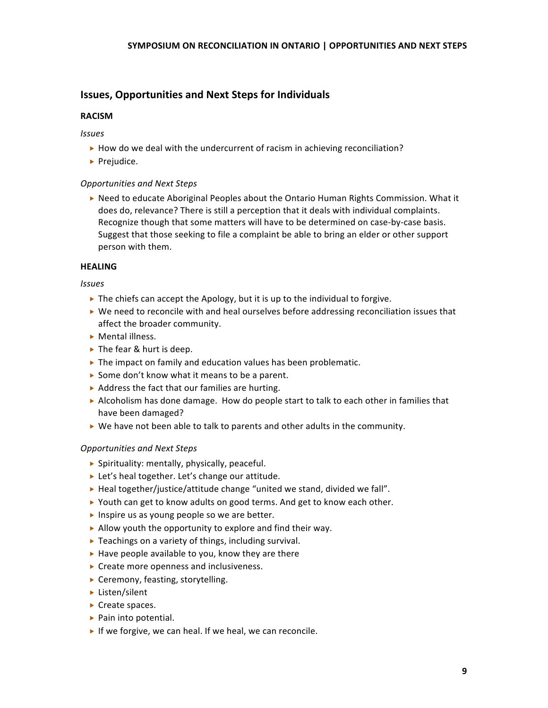## **Issues,
Opportunities
and
Next
Steps
for
Individuals**

#### **RACISM**

*Issues*

- $\triangleright$  How do we deal with the undercurrent of racism in achieving reconciliation?
- $\blacktriangleright$  Prejudice.

#### *Opportunities
and
Next
Steps*

▶ Need to educate Aboriginal Peoples about the Ontario Human Rights Commission. What it does do, relevance? There is still a perception that it deals with individual complaints. Recognize though that some matters will have to be determined on case-by-case basis. Suggest that those seeking to file a complaint be able to bring an elder or other support person
with
them.

#### **HEALING**

#### *Issues*

- ▶ The chiefs can accept the Apology, but it is up to the individual to forgive.
- $\triangleright$  We need to reconcile with and heal ourselves before addressing reconciliation issues that affect
the
broader
community.
- ▶ Mental illness.
- ▶ The fear & hurt is deep.
- ▶ The impact on family and education values has been problematic.
- ▶ Some don't know what it means to be a parent.
- ▶ Address the fact that our families are hurting.
- ► Alcoholism has done damage. How do people start to talk to each other in families that have
been
damaged?
- $\triangleright$  We have not been able to talk to parents and other adults in the community.

## *Opportunities
and
Next
Steps*

- Spirituality:
mentally,
physically,
peaceful.
- ▶ Let's heal together. Let's change our attitude.
- ▶ Heal together/justice/attitude change "united we stand, divided we fall".
- ▶ Youth can get to know adults on good terms. And get to know each other.
- Inspire us as young people so we are better.
- Allow youth the opportunity to explore and find their way.
- ▶ Teachings on a variety of things, including survival.
- ▶ Have people available to you, know they are there
- ▶ Create more openness and inclusiveness.
- ▶ Ceremony, feasting, storytelling.
- ▶ Listen/silent
- ▶ Create spaces.
- ▶ Pain into potential.
- If we forgive, we can heal. If we heal, we can reconcile.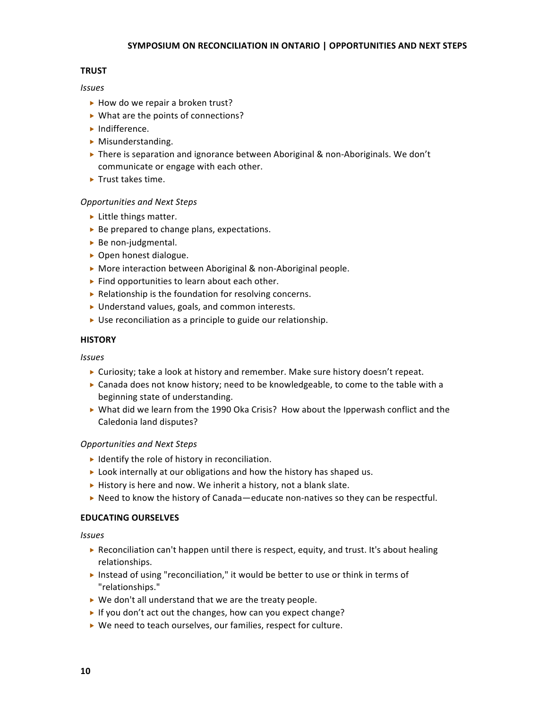## **TRUST**

## *Issues*

- ▶ How do we repair a broken trust?
- ▶ What are the points of connections?
- Indifference.
- $\blacktriangleright$  Misunderstanding.
- ▶ There is separation and ignorance between Aboriginal & non-Aboriginals. We don't communicate
or
engage
with
each
other.
- ▶ Trust takes time.

## *Opportunities
and
Next
Steps*

- ► Little things matter.
- ▶ Be prepared to change plans, expectations.
- ▶ Be non-judgmental.
- ▶ Open honest dialogue.
- ▶ More interaction between Aboriginal & non-Aboriginal people.
- ▶ Find opportunities to learn about each other.
- ▶ Relationship is the foundation for resolving concerns.
- ▶ Understand values, goals, and common interests.
- ▶ Use reconciliation as a principle to guide our relationship.

## **HISTORY**

## *Issues*

- ► Curiosity; take a look at history and remember. Make sure history doesn't repeat.
- ► Canada does not know history; need to be knowledgeable, to come to the table with a beginning
state
of
understanding.
- ▶ What did we learn from the 1990 Oka Crisis? How about the Ipperwash conflict and the Caledonia
land
disputes?

## *Opportunities and
Next
Steps*

- $\blacktriangleright$  Identify the role of history in reconciliation.
- ▶ Look internally at our obligations and how the history has shaped us.
- ▶ History is here and now. We inherit a history, not a blank slate.
- ► Need to know the history of Canada—educate non-natives so they can be respectful.

## **EDUCATING
OURSELVES**

- ▶ Reconciliation can't happen until there is respect, equity, and trust. It's about healing relationships.
- ▶ Instead of using "reconciliation," it would be better to use or think in terms of "relationships."
- ▶ We don't all understand that we are the treaty people.
- If you don't act out the changes, how can you expect change?
- ▶ We need to teach ourselves, our families, respect for culture.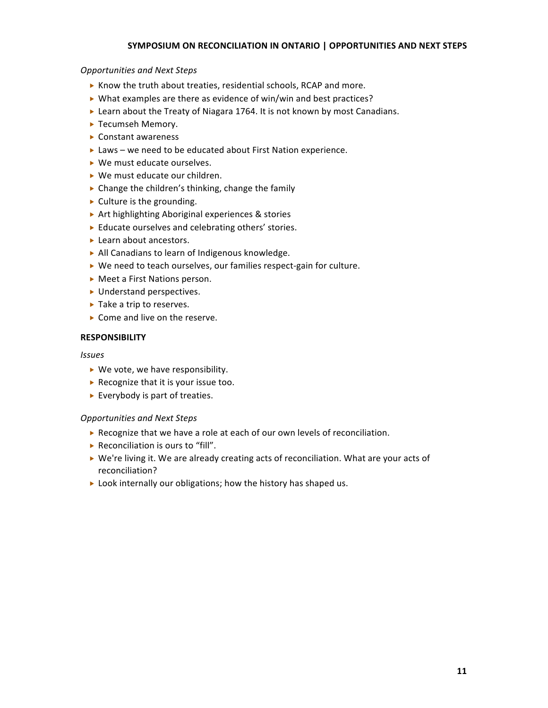#### *Opportunities and
Next
Steps*

- ▶ Know the truth about treaties, residential schools, RCAP and more.
- ▶ What examples are there as evidence of win/win and best practices?
- ► Learn about the Treaty of Niagara 1764. It is not known by most Canadians.
- ▶ Tecumseh Memory.
- Constant
awareness
- ▶ Laws we need to be educated about First Nation experience.
- ▶ We must educate ourselves.
- ▶ We must educate our children.
- ▶ Change the children's thinking, change the family
- ▶ Culture is the grounding.
- ▶ Art highlighting Aboriginal experiences & stories
- ▶ Educate ourselves and celebrating others' stories.
- ► Learn about ancestors.
- ▶ All Canadians to learn of Indigenous knowledge.
- ▶ We need to teach ourselves, our families respect-gain for culture.
- ▶ Meet a First Nations person.
- ▶ Understand perspectives.
- ▶ Take a trip to reserves.
- ▶ Come and live on the reserve.

## **RESPONSIBILITY**

#### *Issues*

- ▶ We vote, we have responsibility.
- ▶ Recognize that it is your issue too.
- ► Everybody is part of treaties.

## *Opportunities and
Next
Steps*

- ▶ Recognize that we have a role at each of our own levels of reconciliation.
- ▶ Reconciliation is ours to "fill".
- ▶ We're living it. We are already creating acts of reconciliation. What are your acts of reconciliation?
- ▶ Look internally our obligations; how the history has shaped us.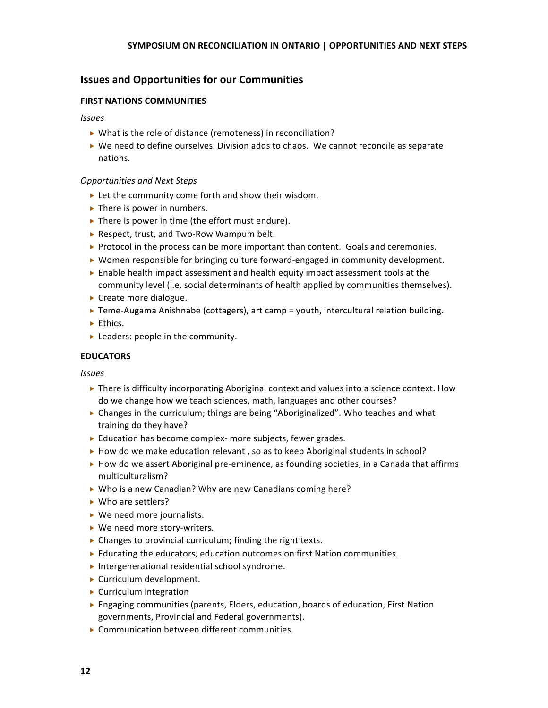## **Issues
and
Opportunities
for
our
Communities**

## **FIRST
NATIONS
COMMUNITIES**

#### *Issues*

- ▶ What is the role of distance (remoteness) in reconciliation?
- ► We need to define ourselves. Division adds to chaos. We cannot reconcile as separate nations.

#### *Opportunities and
Next
Steps*

- ► Let the community come forth and show their wisdom.
- ▶ There is power in numbers.
- ▶ There is power in time (the effort must endure).
- ▶ Respect, trust, and Two-Row Wampum belt.
- ▶ Protocol in the process can be more important than content. Goals and ceremonies.
- ▶ Women responsible for bringing culture forward-engaged in community development.
- ► Enable health impact assessment and health equity impact assessment tools at the community level (i.e. social determinants of health applied by communities themselves).
- ▶ Create more dialogue.
- ▶ Teme-Augama Anishnabe (cottagers), art camp = youth, intercultural relation building.
- $\blacktriangleright$  Ethics.
- ▶ Leaders: people in the community.

#### **EDUCATORS**

- ▶ There is difficulty incorporating Aboriginal context and values into a science context. How do
we
change
how
we
teach
sciences,
math,
languages
and
other
courses?
- ▶ Changes in the curriculum; things are being "Aboriginalized". Who teaches and what training
do
they
have?
- ► Education has become complex- more subjects, fewer grades.
- ► How do we make education relevant, so as to keep Aboriginal students in school?
- ► How do we assert Aboriginal pre-eminence, as founding societies, in a Canada that affirms multiculturalism?
- ▶ Who is a new Canadian? Why are new Canadians coming here?
- ▶ Who are settlers?
- ▶ We need more journalists.
- ▶ We need more story-writers.
- ▶ Changes to provincial curriculum; finding the right texts.
- Educating the educators, education outcomes on first Nation communities.
- ▶ Intergenerational residential school syndrome.
- ▶ Curriculum development.
- ▶ Curriculum integration
- ▶ Engaging communities (parents, Elders, education, boards of education, First Nation governments,
Provincial
and
Federal
governments).
- Communication
between
different
communities.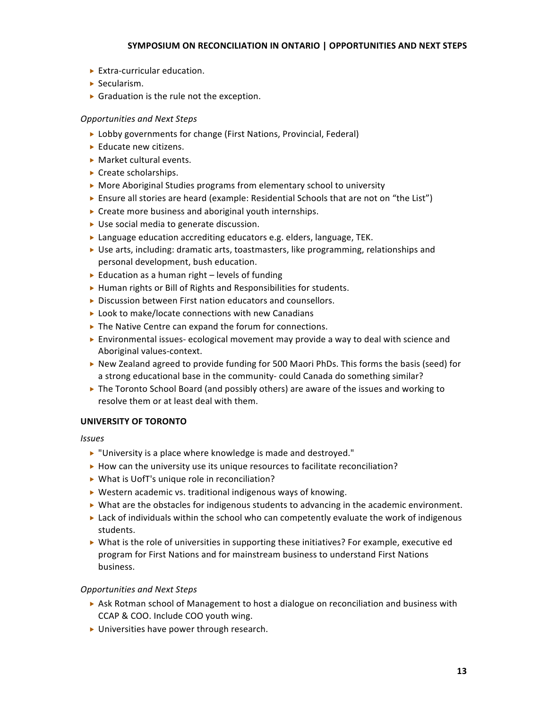- ▶ Extra-curricular education.
- Secularism.
- ▶ Graduation is the rule not the exception.

## *Opportunities and
Next
Steps*

- ▶ Lobby governments for change (First Nations, Provincial, Federal)
- ► Educate new citizens.
- ▶ Market cultural events.
- ▶ Create scholarships.
- ▶ More Aboriginal Studies programs from elementary school to university
- ► Ensure all stories are heard (example: Residential Schools that are not on "the List")
- ▶ Create more business and aboriginal youth internships.
- ▶ Use social media to generate discussion.
- ► Language education accrediting educators e.g. elders, language, TEK.
- $\triangleright$  Use arts, including: dramatic arts, toastmasters, like programming, relationships and personal
development,
bush
education.
- ► Education as a human right levels of funding
- ▶ Human rights or Bill of Rights and Responsibilities for students.
- ▶ Discussion between First nation educators and counsellors.
- ▶ Look to make/locate connections with new Canadians
- ▶ The Native Centre can expand the forum for connections.
- ► Environmental issues-ecological movement may provide a way to deal with science and Aboriginal
values‐context.
- ▶ New Zealand agreed to provide funding for 500 Maori PhDs. This forms the basis (seed) for a strong educational base in the community-could Canada do something similar?
- ▶ The Toronto School Board (and possibly others) are aware of the issues and working to resolve
them
or
at
least
deal
with
them.

## **UNIVERSITY
OF
TORONTO**

*Issues*

- "University is a place where knowledge is made and destroyed."
- ▶ How can the university use its unique resources to facilitate reconciliation?
- ▶ What is UofT's unique role in reconciliation?
- ▶ Western academic vs. traditional indigenous ways of knowing.
- ▶ What are the obstacles for indigenous students to advancing in the academic environment.
- $\triangleright$  Lack of individuals within the school who can competently evaluate the work of indigenous students.
- $\triangleright$  What is the role of universities in supporting these initiatives? For example, executive ed program
for
First
Nations
and
for
mainstream
business
to
understand
First
Nations business.

## *Opportunities and
Next
Steps*

- ► Ask Rotman school of Management to host a dialogue on reconciliation and business with CCAP
&
COO.
Include
COO
youth
wing.
- Universities
have
power
through
research.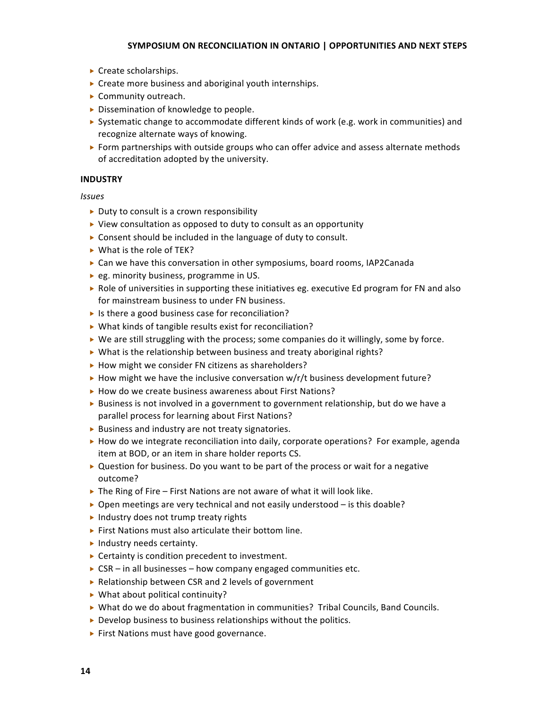- ▶ Create scholarships.
- ▶ Create more business and aboriginal youth internships.
- ▶ Community outreach.
- ▶ Dissemination of knowledge to people.
- ▶ Systematic change to accommodate different kinds of work (e.g. work in communities) and recognize
alternate
ways
of
knowing.
- ▶ Form partnerships with outside groups who can offer advice and assess alternate methods of
accreditation
adopted
by
the
university.

## **INDUSTRY**

- ▶ Duty to consult is a crown responsibility
- ▶ View consultation as opposed to duty to consult as an opportunity
- ▶ Consent should be included in the language of duty to consult.
- ▶ What is the role of TEK?
- ► Can we have this conversation in other symposiums, board rooms, IAP2Canada
- ▶ eg. minority business, programme in US.
- ▶ Role of universities in supporting these initiatives eg. executive Ed program for FN and also for
mainstream
business
to
under
FN
business.
- ▶ Is there a good business case for reconciliation?
- ▶ What kinds of tangible results exist for reconciliation?
- ▶ We are still struggling with the process; some companies do it willingly, some by force.
- ▶ What is the relationship between business and treaty aboriginal rights?
- ▶ How might we consider FN citizens as shareholders?
- ▶ How might we have the inclusive conversation w/r/t business development future?
- ▶ How do we create business awareness about First Nations?
- ▶ Business is not involved in a government to government relationship, but do we have a parallel
process
for
learning
about
First
Nations?
- ▶ Business and industry are not treaty signatories.
- ► How do we integrate reconciliation into daily, corporate operations? For example, agenda item at BOD, or an item in share holder reports CS.
- ▶ Question for business. Do you want to be part of the process or wait for a negative outcome?
- ▶ The Ring of Fire First Nations are not aware of what it will look like.
- ▶ Open meetings are very technical and not easily understood is this doable?
- Industry does not trump treaty rights
- ▶ First Nations must also articulate their bottom line.
- ▶ Industry needs certainty.
- ▶ Certainty is condition precedent to investment.
- ► CSR in all businesses how company engaged communities etc.
- ▶ Relationship between CSR and 2 levels of government
- ▶ What about political continuity?
- ▶ What do we do about fragmentation in communities? Tribal Councils, Band Councils.
- ▶ Develop business to business relationships without the politics.
- ▶ First Nations must have good governance.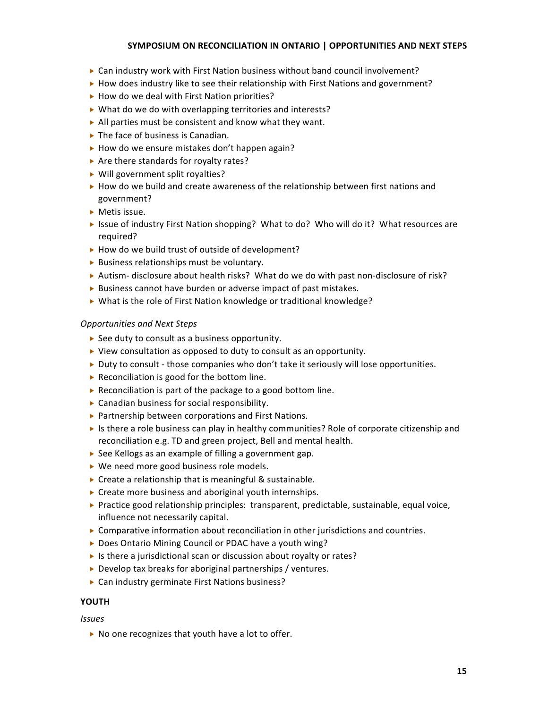- ▶ Can industry work with First Nation business without band council involvement?
- ► How does industry like to see their relationship with First Nations and government?
- ▶ How do we deal with First Nation priorities?
- ▶ What do we do with overlapping territories and interests?
- ▶ All parties must be consistent and know what they want.
- ▶ The face of business is Canadian.
- ▶ How do we ensure mistakes don't happen again?
- ▶ Are there standards for royalty rates?
- ▶ Will government split royalties?
- ► How do we build and create awareness of the relationship between first nations and government?
- Metis
issue.
- ► Issue of industry First Nation shopping? What to do? Who will do it? What resources are required?
- ▶ How do we build trust of outside of development?
- ▶ Business relationships must be voluntary.
- ▶ Autism- disclosure about health risks? What do we do with past non-disclosure of risk?
- ▶ Business cannot have burden or adverse impact of past mistakes.
- ▶ What is the role of First Nation knowledge or traditional knowledge?

## *Opportunities and
Next
Steps*

- ▶ See duty to consult as a business opportunity.
- ▶ View consultation as opposed to duty to consult as an opportunity.
- ▶ Duty to consult those companies who don't take it seriously will lose opportunities.
- ▶ Reconciliation is good for the bottom line.
- ▶ Reconciliation is part of the package to a good bottom line.
- Canadian
business
for
social
responsibility.
- ▶ Partnership between corporations and First Nations.
- In the sthere a role business can play in healthy communities? Role of corporate citizenship and reconciliation
e.g.
TD
and
green
project,
Bell
and
mental
health.
- ▶ See Kellogs as an example of filling a government gap.
- ▶ We need more good business role models.
- ▶ Create a relationship that is meaningful & sustainable.
- ▶ Create more business and aboriginal youth internships.
- ▶ Practice good relationship principles: transparent, predictable, sustainable, equal voice, influence
not
necessarily
capital.
- $\triangleright$  Comparative information about reconciliation in other jurisdictions and countries.
- ▶ Does Ontario Mining Council or PDAC have a youth wing?
- ▶ Is there a jurisdictional scan or discussion about royalty or rates?
- ▶ Develop tax breaks for aboriginal partnerships / ventures.
- ▶ Can industry germinate First Nations business?

## **YOUTH**

*Issues*

▶ No one recognizes that youth have a lot to offer.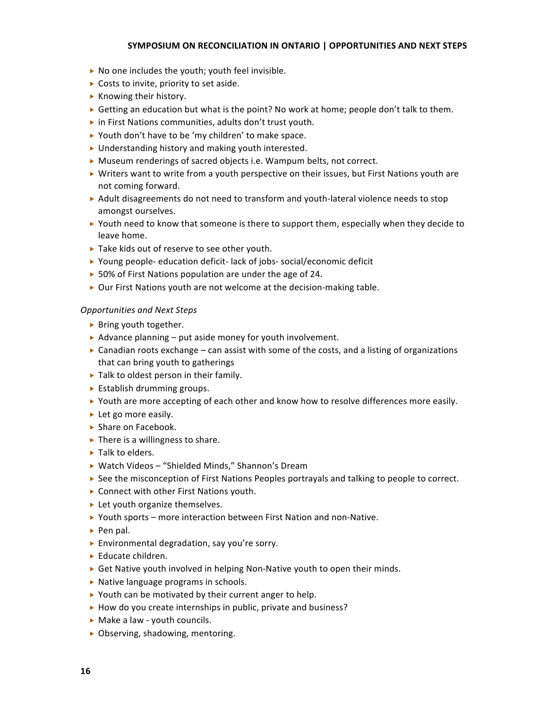- ▶ No one includes the youth; youth feel invisible.
- ▶ Costs to invite, priority to set aside.
- ▶ Knowing their history.
- ► Getting an education but what is the point? No work at home; people don't talk to them.
- ▶ in First Nations communities, adults don't trust youth.
- ▶ Youth don't have to be 'my children' to make space.
- ▶ Understanding history and making youth interested.
- ▶ Museum renderings of sacred objects i.e. Wampum belts, not correct.
- ▶ Writers want to write from a youth perspective on their issues, but First Nations youth are not
coming
forward.
- ► Adult disagreements do not need to transform and youth-lateral violence needs to stop amongst
ourselves.
- $\triangleright$  Youth need to know that someone is there to support them, especially when they decide to leave
home.
- ▶ Take kids out of reserve to see other youth.
- ▶ Young people- education deficit-lack of jobs- social/economic deficit
- ▶ 50% of First Nations population are under the age of 24.
- ▶ Our First Nations youth are not welcome at the decision-making table.

## *Opportunities and
Next
Steps*

- **Bring youth together.**
- ▶ Advance planning put aside money for youth involvement.
- $\triangleright$  Canadian roots exchange can assist with some of the costs, and a listing of organizations that
can
bring
youth
to
gatherings
- ▶ Talk to oldest person in their family.
- ▶ Establish drumming groups.
- ► Youth are more accepting of each other and know how to resolve differences more easily.
- ► Let go more easily.
- ▶ Share on Facebook.
- ▶ There is a willingness to share.
- ► Talk to elders.
- ▶ Watch Videos "Shielded Minds," Shannon's Dream
- ▶ See the misconception of First Nations Peoples portrayals and talking to people to correct.
- ▶ Connect with other First Nations youth.
- ► Let youth organize themselves.
- ▶ Youth sports more interaction between First Nation and non-Native.
- ▶ Pen pal.
- Environmental
degradation,
say
you're
sorry.
- ► Educate children.
- ► Get Native youth involved in helping Non-Native youth to open their minds.
- ▶ Native language programs in schools.
- ▶ Youth can be motivated by their current anger to help.
- ▶ How do you create internships in public, private and business?
- ▶ Make a law youth councils.
- Observing,
shadowing,
mentoring.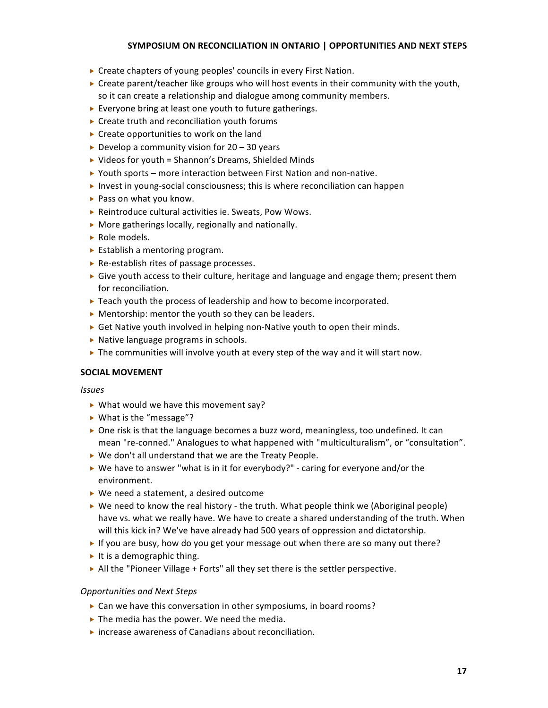- ▶ Create chapters of young peoples' councils in every First Nation.
- ► Create parent/teacher like groups who will host events in their community with the youth, so it can create a relationship and dialogue among community members.
- ► Everyone bring at least one youth to future gatherings.
- ▶ Create truth and reconciliation youth forums
- ▶ Create opportunities to work on the land
- Develop a community vision for  $20 30$  years
- ▶ Videos for youth = Shannon's Dreams, Shielded Minds
- ▶ Youth sports more interaction between First Nation and non-native.
- ▶ Invest in young-social consciousness; this is where reconciliation can happen
- ▶ Pass on what you know.
- ▶ Reintroduce cultural activities ie. Sweats, Pow Wows.
- ▶ More gatherings locally, regionally and nationally.
- ▶ Role models.
- ▶ Establish a mentoring program.
- ▶ Re-establish rites of passage processes.
- $\triangleright$  Give youth access to their culture, heritage and language and engage them; present them for
reconciliation.
- ▶ Teach youth the process of leadership and how to become incorporated.
- ▶ Mentorship: mentor the youth so they can be leaders.
- ► Get Native youth involved in helping non-Native youth to open their minds.
- ▶ Native language programs in schools.
- In the communities will involve youth at every step of the way and it will start now.

## **SOCIAL
MOVEMENT**

*Issues*

- ▶ What would we have this movement say?
- ▶ What is the "message"?
- ▶ One risk is that the language becomes a buzz word, meaningless, too undefined. It can mean "re-conned." Analogues to what happened with "multiculturalism", or "consultation".
- ▶ We don't all understand that we are the Treaty People.
- ► We have to answer "what is in it for everybody?" caring for everyone and/or the environment.
- ▶ We need a statement, a desired outcome
- $\triangleright$  We need to know the real history the truth. What people think we (Aboriginal people) have vs. what we really have. We have to create a shared understanding of the truth. When will this kick in? We've have already had 500 years of oppression and dictatorship.
- If you are busy, how do you get your message out when there are so many out there?
- It is a demographic thing.
- $\triangleright$  All the "Pioneer Village + Forts" all they set there is the settler perspective.

## *Opportunities and
Next
Steps*

- ► Can we have this conversation in other symposiums, in board rooms?
- ▶ The media has the power. We need the media.
- ▶ increase awareness of Canadians about reconciliation.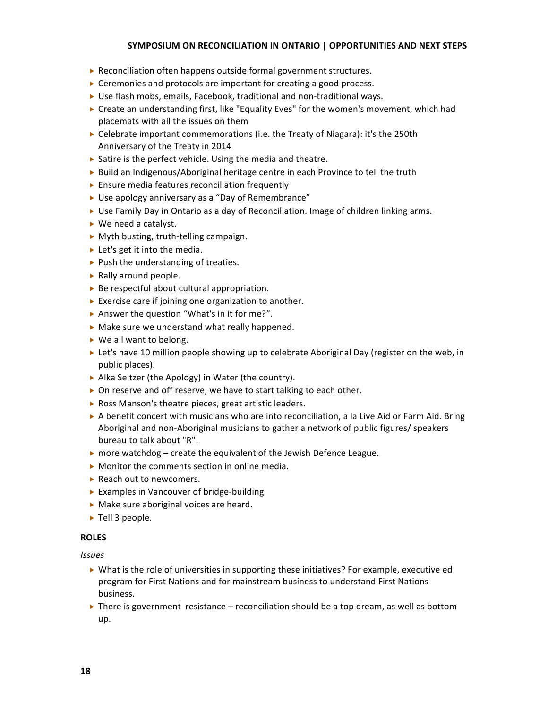- ▶ Reconciliation often happens outside formal government structures.
- ▶ Ceremonies and protocols are important for creating a good process.
- ► Use flash mobs, emails, Facebook, traditional and non-traditional ways.
- ► Create an understanding first, like "Equality Eves" for the women's movement, which had placemats
with
all
the
issues
on
them
- $\triangleright$  Celebrate important commemorations (i.e. the Treaty of Niagara): it's the 250th Anniversary
of
the
Treaty
in
2014
- ▶ Satire is the perfect vehicle. Using the media and theatre.
- ▶ Build an Indigenous/Aboriginal heritage centre in each Province to tell the truth
- ▶ Ensure media features reconciliation frequently
- ▶ Use apology anniversary as a "Day of Remembrance"
- ► Use Family Day in Ontario as a day of Reconciliation. Image of children linking arms.
- ▶ We need a catalyst.
- ▶ Myth busting, truth-telling campaign.
- ► Let's get it into the media.
- $\blacktriangleright$  Push the understanding of treaties.
- ▶ Rally around people.
- ▶ Be respectful about cultural appropriation.
- ► Exercise care if joining one organization to another.
- ▶ Answer the question "What's in it for me?".
- ▶ Make sure we understand what really happened.
- ▶ We all want to belong.
- ► Let's have 10 million people showing up to celebrate Aboriginal Day (register on the web, in public
places).
- ▶ Alka Seltzer (the Apology) in Water (the country).
- ▶ On reserve and off reserve, we have to start talking to each other.
- ▶ Ross Manson's theatre pieces, great artistic leaders.
- A benefit concert with musicians who are into reconciliation, a la Live Aid or Farm Aid. Bring Aboriginal
and
non‐Aboriginal
musicians
to
gather
a
network
of
public
figures/
speakers bureau
to
talk
about
"R".
- $\triangleright$  more watchdog create the equivalent of the Jewish Defence League.
- ▶ Monitor the comments section in online media.
- ▶ Reach out to newcomers.
- ▶ Examples in Vancouver of bridge-building
- ▶ Make sure aboriginal voices are heard.
- ▶ Tell 3 people.

#### **ROLES**

- ▶ What is the role of universities in supporting these initiatives? For example, executive ed program
for
First
Nations
and
for
mainstream
business
to
understand
First
Nations business.
- $\triangleright$  There is government resistance reconciliation should be a top dream, as well as bottom up.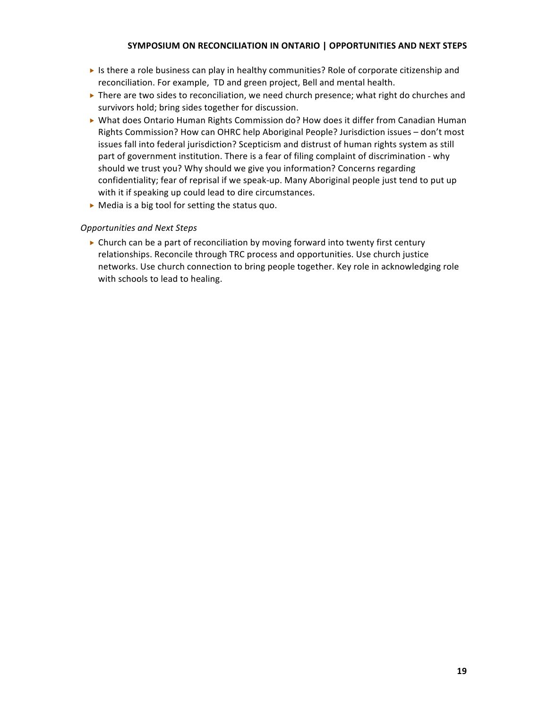- In the sthere a role business can play in healthy communities? Role of corporate citizenship and reconciliation. For example, TD and green project, Bell and mental health.
- ▶ There are two sides to reconciliation, we need church presence; what right do churches and survivors
hold;
bring
sides
together
for
discussion.
- ▶ What does Ontario Human Rights Commission do? How does it differ from Canadian Human Rights Commission? How can OHRC help Aboriginal People? Jurisdiction issues - don't most issues fall into federal jurisdiction? Scepticism and distrust of human rights system as still part of government institution. There is a fear of filing complaint of discrimination - why should we trust you? Why should we give you information? Concerns regarding confidentiality; fear of reprisal if we speak-up. Many Aboriginal people just tend to put up with it if speaking up could lead to dire circumstances.
- ▶ Media is a big tool for setting the status quo.

## *Opportunities and
Next
Steps*

 $\triangleright$  Church can be a part of reconciliation by moving forward into twenty first century relationships. Reconcile through TRC process and opportunities. Use church justice networks. Use church connection to bring people together. Key role in acknowledging role with schools to lead to healing.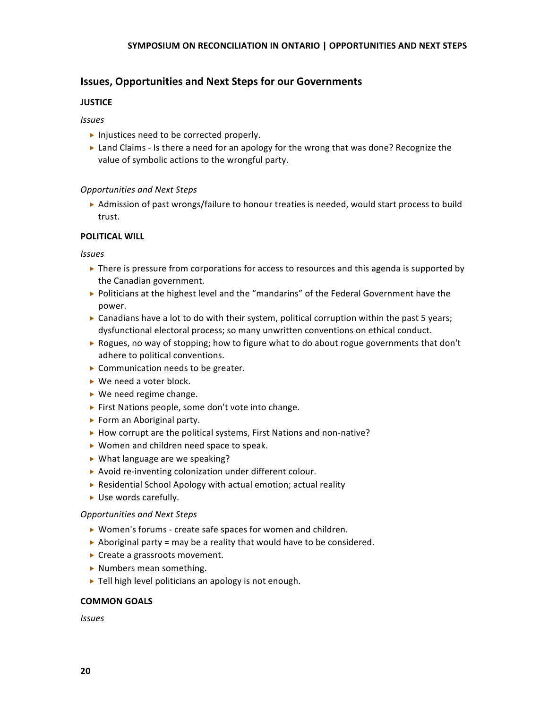## **Issues,
Opportunities
and
Next
Steps
for
our
Governments**

## **JUSTICE**

## *Issues*

- Injustices need to be corrected properly.
- ► Land Claims Is there a need for an apology for the wrong that was done? Recognize the value of symbolic actions to the wrongful party.

## *Opportunities and
Next
Steps*

▶ Admission of past wrongs/failure to honour treaties is needed, would start process to build trust.

## **POLITICAL
WILL**

*Issues*

- $\triangleright$  There is pressure from corporations for access to resources and this agenda is supported by the
Canadian
government.
- ▶ Politicians at the highest level and the "mandarins" of the Federal Government have the power.
- $\triangleright$  Canadians have a lot to do with their system, political corruption within the past 5 years; dysfunctional
electoral
process;
so
many
unwritten
conventions
on
ethical
conduct.
- ▶ Rogues, no way of stopping; how to figure what to do about rogue governments that don't adhere
to
political
conventions.
- ▶ Communication needs to be greater.
- ▶ We need a voter block.
- ▶ We need regime change.
- ▶ First Nations people, some don't vote into change.
- ▶ Form an Aboriginal party.
- ▶ How corrupt are the political systems, First Nations and non-native?
- ▶ Women and children need space to speak.
- ▶ What language are we speaking?
- ▶ Avoid re-inventing colonization under different colour.
- ▶ Residential School Apology with actual emotion; actual reality
- ▶ Use words carefully.

## *Opportunities and
Next
Steps*

- ▶ Women's forums create safe spaces for women and children.
- Aboriginal party = may be a reality that would have to be considered.
- ▶ Create a grassroots movement.
- ▶ Numbers mean something.
- ▶ Tell high level politicians an apology is not enough.

## **COMMON
GOALS**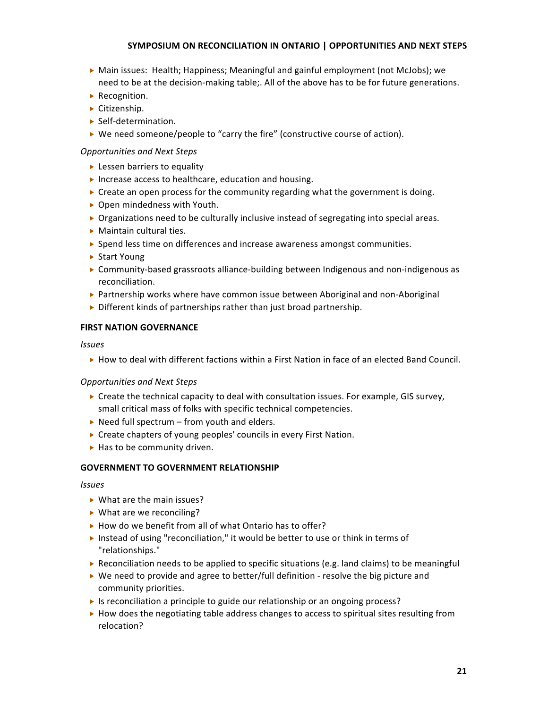- ► Main issues: Health; Happiness; Meaningful and gainful employment (not McJobs); we need to be at the decision-making table;. All of the above has to be for future generations.
- ▶ Recognition.
- ▶ Citizenship.
- ▶ Self-determination.
- $\triangleright$  We need someone/people to "carry the fire" (constructive course of action).

## *Opportunities and
Next
Steps*

- ► Lessen barriers to equality
- ▶ Increase access to healthcare, education and housing.
- ► Create an open process for the community regarding what the government is doing.
- ▶ Open mindedness with Youth.
- ▶ Organizations need to be culturally inclusive instead of segregating into special areas.
- ▶ Maintain cultural ties.
- ▶ Spend less time on differences and increase awareness amongst communities.
- ▶ Start Young
- ▶ Community-based grassroots alliance-building between Indigenous and non-indigenous as reconciliation.
- ▶ Partnership works where have common issue between Aboriginal and non-Aboriginal
- ▶ Different kinds of partnerships rather than just broad partnership.

## **FIRST
NATION
GOVERNANCE**

#### *Issues*

► How to deal with different factions within a First Nation in face of an elected Band Council.

## *Opportunities and
Next
Steps*

- ► Create the technical capacity to deal with consultation issues. For example, GIS survey, small
critical
mass
of
folks
with
specific
technical
competencies.
- ▶ Need full spectrum from youth and elders.
- ▶ Create chapters of young peoples' councils in every First Nation.
- ▶ Has to be community driven.

## **GOVERNMENT
TO
GOVERNMENT
RELATIONSHIP**

- ▶ What are the main issues?
- ▶ What are we reconciling?
- ▶ How do we benefit from all of what Ontario has to offer?
- ▶ Instead of using "reconciliation," it would be better to use or think in terms of "relationships."
- Reconciliation needs to be applied to specific situations (e.g. land claims) to be meaningful
- $\triangleright$  We need to provide and agree to better/full definition resolve the big picture and community
priorities.
- ► Is reconciliation a principle to guide our relationship or an ongoing process?
- ► How does the negotiating table address changes to access to spiritual sites resulting from relocation?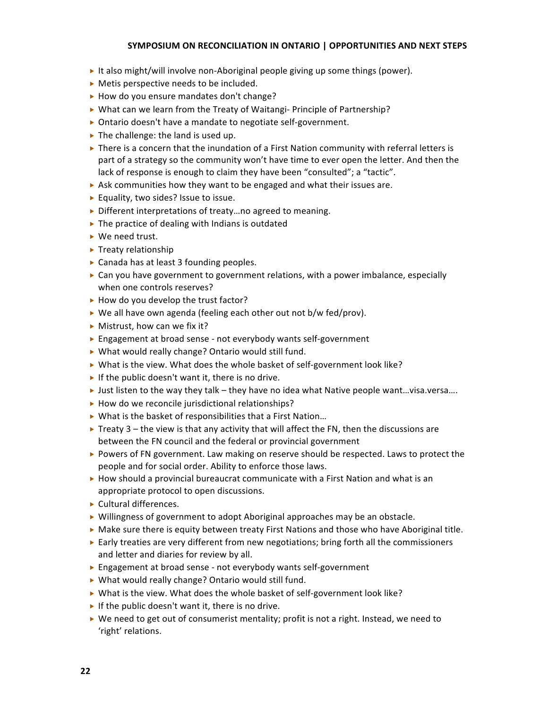- It also might/will involve non-Aboriginal people giving up some things (power).
- ▶ Metis perspective needs to be included.
- ▶ How do you ensure mandates don't change?
- ▶ What can we learn from the Treaty of Waitangi- Principle of Partnership?
- ▶ Ontario doesn't have a mandate to negotiate self-government.
- In The challenge: the land is used up.
- $\triangleright$  There is a concern that the inundation of a First Nation community with referral letters is part of a strategy so the community won't have time to ever open the letter. And then the lack of response is enough to claim they have been "consulted"; a "tactic".
- ▶ Ask communities how they want to be engaged and what their issues are.
- ▶ Equality, two sides? Issue to issue.
- ▶ Different interpretations of treaty...no agreed to meaning.
- ▶ The practice of dealing with Indians is outdated
- ▶ We need trust.
- $\blacktriangleright$  Treaty relationship
- ▶ Canada has at least 3 founding peoples.
- ► Can you have government to government relations, with a power imbalance, especially when
one
controls
reserves?
- ▶ How do you develop the trust factor?
- ▶ We all have own agenda (feeling each other out not b/w fed/prov).
- ▶ Mistrust, how can we fix it?
- ► Engagement at broad sense not everybody wants self-government
- ▶ What would really change? Ontario would still fund.
- ▶ What is the view. What does the whole basket of self-government look like?
- If the public doesn't want it, there is no drive.
- I ust listen to the way they talk they have no idea what Native people want...visa.versa....
- ▶ How do we reconcile jurisdictional relationships?
- ▶ What is the basket of responsibilities that a First Nation...
- Freaty  $3$  the view is that any activity that will affect the FN, then the discussions are between
the
FN
council
and
the
federal
or
provincial
government
- ▶ Powers of FN government. Law making on reserve should be respected. Laws to protect the people
and
for
social
order.
Ability
to
enforce
those
laws.
- $\triangleright$  How should a provincial bureaucrat communicate with a First Nation and what is an appropriate protocol to open discussions.
- ▶ Cultural differences.
- ▶ Willingness of government to adopt Aboriginal approaches may be an obstacle.
- ▶ Make sure there is equity between treaty First Nations and those who have Aboriginal title.
- ► Early treaties are very different from new negotiations; bring forth all the commissioners and
letter
and
diaries
for
review
by
all.
- ► Engagement at broad sense not everybody wants self-government
- ▶ What would really change? Ontario would still fund.
- ▶ What is the view. What does the whole basket of self-government look like?
- If the public doesn't want it, there is no drive.
- ▶ We need to get out of consumerist mentality; profit is not a right. Instead, we need to 'right'
relations.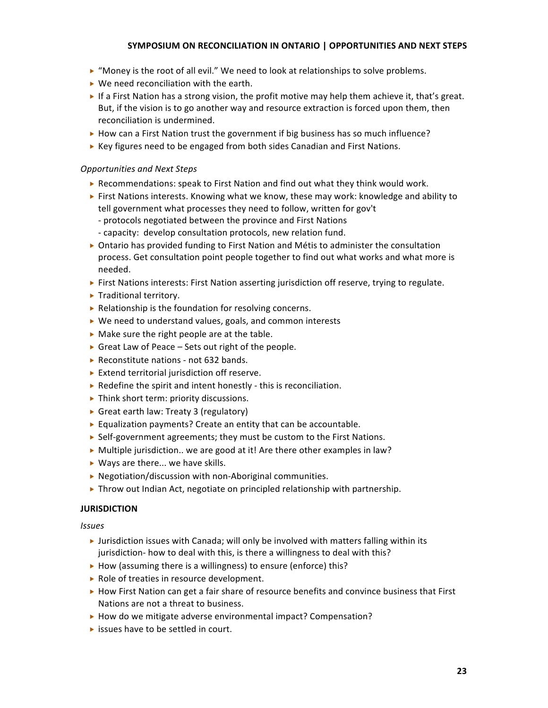- $\triangleright$  "Money is the root of all evil." We need to look at relationships to solve problems.
- ▶ We need reconciliation with the earth.
- If a First Nation has a strong vision, the profit motive may help them achieve it, that's great. But, if the vision is to go another way and resource extraction is forced upon them, then reconciliation
is
undermined.
- ► How can a First Nation trust the government if big business has so much influence?
- ▶ Key figures need to be engaged from both sides Canadian and First Nations.

## *Opportunities and
Next
Steps*

- $\triangleright$  Recommendations: speak to First Nation and find out what they think would work.
- ► First Nations interests. Knowing what we know, these may work: knowledge and ability to tell government what processes they need to follow, written for gov't
	- ‐
	protocols
	negotiated
	between
	the
	province
	and
	First
	Nations
	- ‐ capacity:
	
	develop
	consultation
	protocols,
	new
	relation
	fund.
- ▶ Ontario has provided funding to First Nation and Métis to administer the consultation process.
Get
consultation
point
people
together
to
find
out
what
works
and
what
more
is needed.
- ► First Nations interests: First Nation asserting jurisdiction off reserve, trying to regulate.
- ▶ Traditional territory.
- ▶ Relationship is the foundation for resolving concerns.
- ▶ We need to understand values, goals, and common interests
- ▶ Make sure the right people are at the table.
- ► Great Law of Peace Sets out right of the people.
- ▶ Reconstitute nations not 632 bands.
- ▶ Extend territorial jurisdiction off reserve.
- ▶ Redefine the spirit and intent honestly this is reconciliation.
- ▶ Think short term: priority discussions.
- ▶ Great earth law: Treaty 3 (regulatory)
- ► Equalization payments? Create an entity that can be accountable.
- ▶ Self-government agreements; they must be custom to the First Nations.
- $\triangleright$  Multiple jurisdiction.. we are good at it! Are there other examples in law?
- ▶ Ways are there... we have skills.
- ▶ Negotiation/discussion with non-Aboriginal communities.
- $\triangleright$  Throw out Indian Act, negotiate on principled relationship with partnership.

## **JURISDICTION**

- Iurisdiction issues with Canada; will only be involved with matters falling within its jurisdiction- how to deal with this, is there a willingness to deal with this?
- ▶ How (assuming there is a willingness) to ensure (enforce) this?
- ▶ Role of treaties in resource development.
- ► How First Nation can get a fair share of resource benefits and convince business that First Nations are not a threat to business.
- ▶ How do we mitigate adverse environmental impact? Compensation?
- issues have to be settled in court.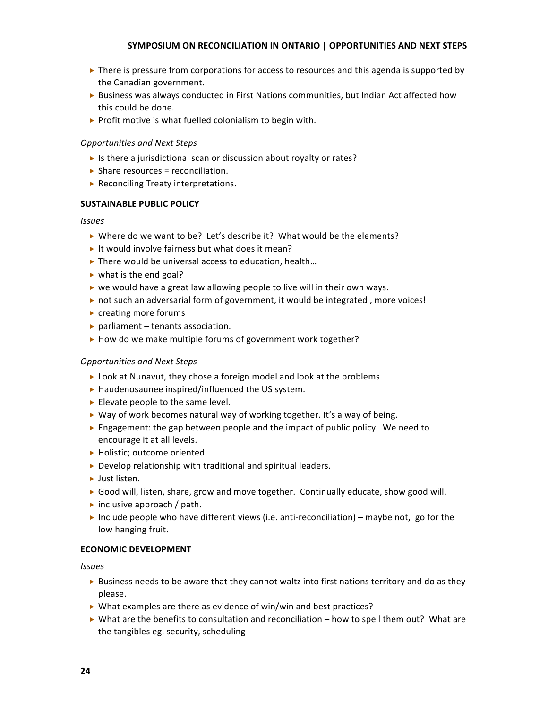- $\triangleright$  There is pressure from corporations for access to resources and this agenda is supported by the
Canadian
government.
- ► Business was always conducted in First Nations communities, but Indian Act affected how this
could
be
done.
- ▶ Profit motive is what fuelled colonialism to begin with.

## *Opportunities and
Next
Steps*

- ▶ Is there a jurisdictional scan or discussion about royalty or rates?
- $\triangleright$  Share resources = reconciliation.
- ▶ Reconciling Treaty interpretations.

## **SUSTAINABLE
PUBLIC
POLICY**

## *Issues*

- ▶ Where do we want to be? Let's describe it? What would be the elements?
- It would involve fairness but what does it mean?
- ▶ There would be universal access to education, health...
- ► what is the end goal?
- $\triangleright$  we would have a great law allowing people to live will in their own ways.
- ▶ not such an adversarial form of government, it would be integrated, more voices!
- ▶ creating more forums
- ▶ parliament tenants association.
- ▶ How do we make multiple forums of government work together?

## *Opportunities and
Next
Steps*

- ► Look at Nunavut, they chose a foreign model and look at the problems
- ▶ Haudenosaunee inspired/influenced the US system.
- Elevate people to the same level.
- $\triangleright$  Way of work becomes natural way of working together. It's a way of being.
- ► Engagement: the gap between people and the impact of public policy. We need to encourage
it
at
all
levels.
- ▶ Holistic; outcome oriented.
- ▶ Develop relationship with traditional and spiritual leaders.
- ▶ Just listen.
- ▶ Good will, listen, share, grow and move together. Continually educate, show good will.
- inclusive approach / path.
- Include people who have different views (i.e. anti-reconciliation) maybe not, go for the low
hanging
fruit.

## **ECONOMIC
DEVELOPMENT**

- ► Business needs to be aware that they cannot waltz into first nations territory and do as they please.
- ▶ What examples are there as evidence of win/win and best practices?
- ▶ What are the benefits to consultation and reconciliation how to spell them out? What are the
tangibles
eg.
security,
scheduling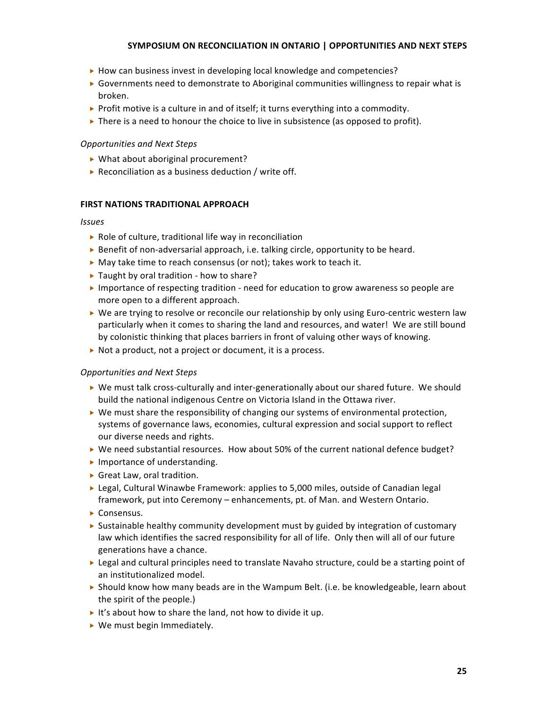- ► How can business invest in developing local knowledge and competencies?
- ► Governments need to demonstrate to Aboriginal communities willingness to repair what is broken.
- ▶ Profit motive is a culture in and of itself; it turns everything into a commodity.
- $\triangleright$  There is a need to honour the choice to live in subsistence (as opposed to profit).

#### *Opportunities and
Next
Steps*

- ▶ What about aboriginal procurement?
- ▶ Reconciliation as a business deduction / write off.

#### **FIRST
NATIONS
TRADITIONAL
APPROACH**

#### *Issues*

- ▶ Role of culture, traditional life way in reconciliation
- ▶ Benefit of non-adversarial approach, i.e. talking circle, opportunity to be heard.
- ▶ May take time to reach consensus (or not); takes work to teach it.
- ▶ Taught by oral tradition how to share?
- ► Importance of respecting tradition need for education to grow awareness so people are more
open
to
a
different
approach.
- ► We are trying to resolve or reconcile our relationship by only using Euro-centric western law particularly when it comes to sharing the land and resources, and water! We are still bound by colonistic thinking that places barriers in front of valuing other ways of knowing.
- ▶ Not a product, not a project or document, it is a process.

#### *Opportunities and
Next
Steps*

- ▶ We must talk cross-culturally and inter-generationally about our shared future. We should build the national indigenous Centre on Victoria Island in the Ottawa river.
- $\triangleright$  We must share the responsibility of changing our systems of environmental protection, systems
of
governance
laws,
economies,
cultural
expression
and
social
support
to
reflect our
diverse
needs
and
rights.
- ▶ We need substantial resources. How about 50% of the current national defence budget?
- Importance of understanding.
- ▶ Great Law, oral tradition.
- ► Legal, Cultural Winawbe Framework: applies to 5,000 miles, outside of Canadian legal framework, put into Ceremony - enhancements, pt. of Man. and Western Ontario.
- Consensus.
- $\triangleright$  Sustainable healthy community development must by guided by integration of customary law which identifies the sacred responsibility for all of life. Only then will all of our future generations
have
a
chance.
- ► Legal and cultural principles need to translate Navaho structure, could be a starting point of an
institutionalized
model.
- $\triangleright$  Should know how many beads are in the Wampum Belt. (i.e. be knowledgeable, learn about the
spirit
of
the
people.)
- It's about how to share the land, not how to divide it up.
- ▶ We must begin Immediately.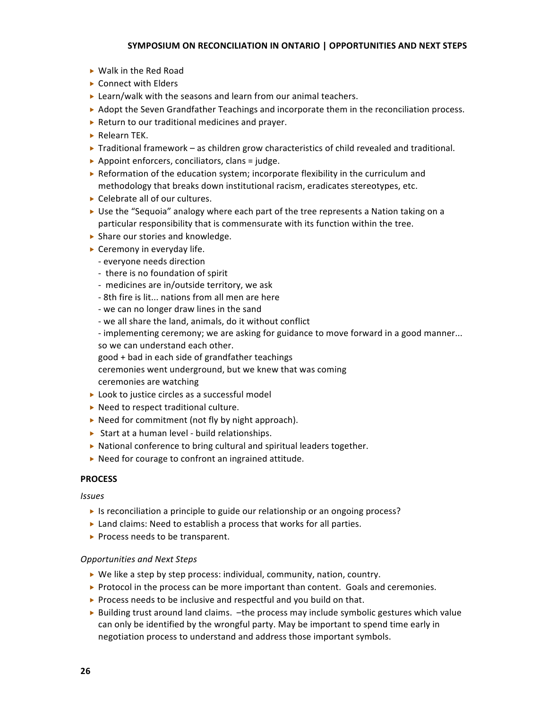- ▶ Walk in the Red Road
- **Connect with Elders**
- ► Learn/walk with the seasons and learn from our animal teachers.
- ▶ Adopt the Seven Grandfather Teachings and incorporate them in the reconciliation process.
- ▶ Return to our traditional medicines and prayer.
- Relearn
TEK.
- $\triangleright$  Traditional framework as children grow characteristics of child revealed and traditional.
- ▶ Appoint enforcers, conciliators, clans = judge.
- $\triangleright$  Reformation of the education system; incorporate flexibility in the curriculum and methodology that breaks down institutional racism, eradicates stereotypes, etc.
- ▶ Celebrate all of our cultures.
- ► Use the "Sequoia" analogy where each part of the tree represents a Nation taking on a particular
responsibility
that
is
commensurate
with
its
function
within
the
tree.
- ▶ Share our stories and knowledge.
- ► Ceremony in everyday life.
	- ‐
	everyone
	needs
	direction
	- there is no foundation of spirit
	- ‐
	
	medicines
	are
	in/outside
	territory,
	we
	ask
	- ‐
	8th
	fire
	is
	lit...
	nations
	from
	all
	men
	are
	here
	- ‐
	we
	can
	no
	longer
	draw
	lines
	in
	the
	sand
	- ‐
	we
	all
	share
	the
	land,
	animals,
	do
	it
	without
	conflict
	- implementing ceremony; we are asking for guidance to move forward in a good manner... so
	we
	can
	understand
	each
	other.

good
+
bad
in
each
side
of
grandfather
teachings

ceremonies
went
underground,
but
we
knew
that
was
coming ceremonies
are
watching

- ▶ Look to justice circles as a successful model
- ▶ Need to respect traditional culture.
- ▶ Need for commitment (not fly by night approach).
- ▶ Start at a human level build relationships.
- ▶ National conference to bring cultural and spiritual leaders together.
- ▶ Need for courage to confront an ingrained attitude.

## **PROCESS**

## *Issues*

- ▶ Is reconciliation a principle to guide our relationship or an ongoing process?
- ▶ Land claims: Need to establish a process that works for all parties.
- ▶ Process needs to be transparent.

## *Opportunities and
Next
Steps*

- ▶ We like a step by step process: individual, community, nation, country.
- $\triangleright$  Protocol in the process can be more important than content. Goals and ceremonies.
- ▶ Process needs to be inclusive and respectful and you build on that.
- ► Building trust around land claims. the process may include symbolic gestures which value can only be identified by the wrongful party. May be important to spend time early in negotiation
process
to
understand
and
address
those
important
symbols.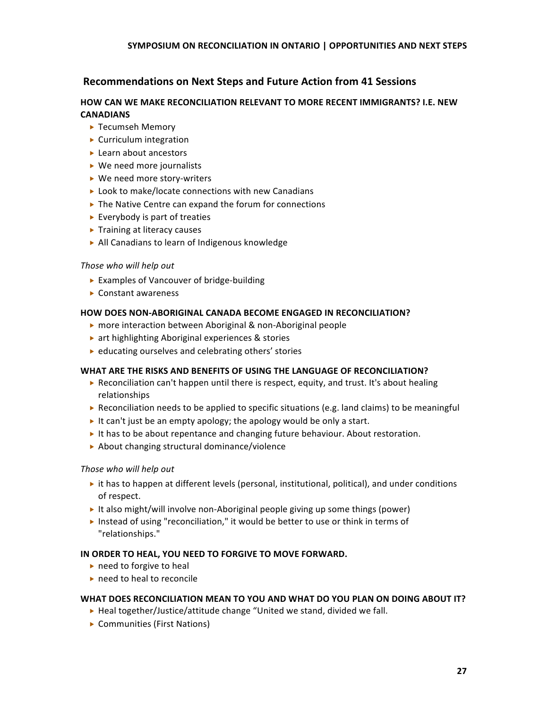## **Recommendations
on
Next
Steps
and
Future
Action
from
41
Sessions**

## **HOW CAN WE MAKE RECONCILIATION RELEVANT TO MORE RECENT IMMIGRANTS? I.E. NEW CANADIANS**

- ▶ Tecumseh Memory
- ▶ Curriculum integration
- ► Learn about ancestors
- ▶ We need more journalists
- ▶ We need more story-writers
- ▶ Look to make/locate connections with new Canadians
- ▶ The Native Centre can expand the forum for connections
- ► Everybody is part of treaties
- ▶ Training at literacy causes
- ▶ All Canadians to learn of Indigenous knowledge

## *Those
who
will
help
out*

- ▶ Examples of Vancouver of bridge-building
- Constant
awareness

## **HOW DOES NON-ABORIGINAL CANADA BECOME ENGAGED IN RECONCILIATION?**

- ▶ more interaction between Aboriginal & non-Aboriginal people
- ▶ art highlighting Aboriginal experiences & stories
- ▶ educating ourselves and celebrating others' stories

## WHAT ARE THE RISKS AND BENEFITS OF USING THE LANGUAGE OF RECONCILIATION?

- ▶ Reconciliation can't happen until there is respect, equity, and trust. It's about healing relationships
- Reconciliation needs to be applied to specific situations (e.g. land claims) to be meaningful
- It can't just be an empty apology; the apology would be only a start.
- It has to be about repentance and changing future behaviour. About restoration.
- About
changing
structural
dominance/violence

## *Those
who
will
help
out*

- $\triangleright$  it has to happen at different levels (personal, institutional, political), and under conditions of
respect.
- ► It also might/will involve non-Aboriginal people giving up some things (power)
- Instead of using "reconciliation," it would be better to use or think in terms of "relationships."

## IN ORDER TO HEAL, YOU NEED TO FORGIVE TO MOVE FORWARD.

- ► need to forgive to heal
- ► need to heal to reconcile

## WHAT DOES RECONCILIATION MEAN TO YOU AND WHAT DO YOU PLAN ON DOING ABOUT IT?

- ► Heal together/Justice/attitude change "United we stand, divided we fall.
- ▶ Communities (First Nations)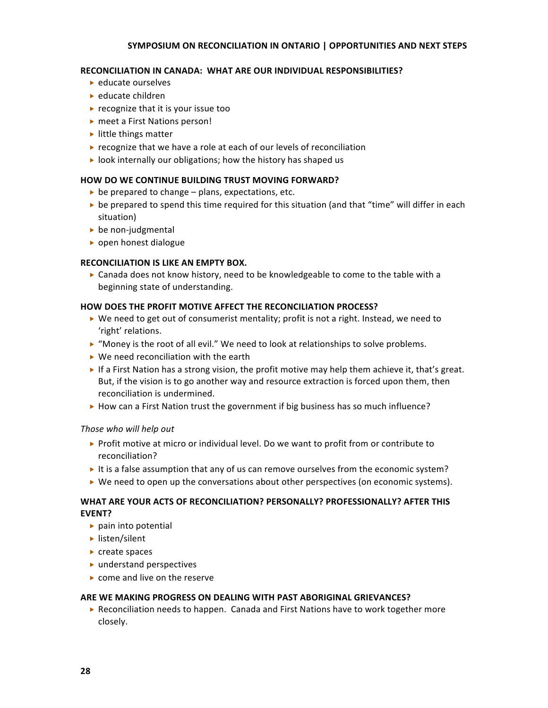#### RECONCILIATION IN CANADA: WHAT ARE OUR INDIVIDUAL RESPONSIBILITIES?

- ► educate ourselves
- ► educate children
- ▶ recognize that it is your issue too
- ▶ meet a First Nations person!
- ► little things matter
- ▶ recognize that we have a role at each of our levels of reconciliation
- $\triangleright$  look internally our obligations; how the history has shaped us

#### **HOW
DO
WE
CONTINUE
BUILDING
TRUST
MOVING
FORWARD?**

- ▶ be prepared to change plans, expectations, etc.
- $\triangleright$  be prepared to spend this time required for this situation (and that "time" will differ in each situation)
- ▶ be non-judgmental
- ▶ open honest dialogue

#### **RECONCILIATION
IS
LIKE
AN
EMPTY
BOX.**

► Canada does not know history, need to be knowledgeable to come to the table with a beginning
state
of
understanding.

#### **HOW
DOES
THE
PROFIT
MOTIVE
AFFECT
THE
RECONCILIATION
PROCESS?**

- ▶ We need to get out of consumerist mentality; profit is not a right. Instead, we need to 'right'
relations.
- ▶ "Money is the root of all evil." We need to look at relationships to solve problems.
- ▶ We need reconciliation with the earth
- If a First Nation has a strong vision, the profit motive may help them achieve it, that's great. But, if the vision is to go another way and resource extraction is forced upon them, then reconciliation
is
undermined.
- ► How can a First Nation trust the government if big business has so much influence?

#### *Those
who
will
help
out*

- ▶ Profit motive at micro or individual level. Do we want to profit from or contribute to reconciliation?
- It is a false assumption that any of us can remove ourselves from the economic system?
- ▶ We need to open up the conversations about other perspectives (on economic systems).

## WHAT ARE YOUR ACTS OF RECONCILIATION? PERSONALLY? PROFESSIONALLY? AFTER THIS **EVENT?**

- pain
into
potential
- $\blacktriangleright$  listen/silent
- ► create spaces
- understand
perspectives
- ▶ come and live on the reserve

#### ARE WE MAKING PROGRESS ON DEALING WITH PAST ABORIGINAL GRIEVANCES?

▶ Reconciliation needs to happen. Canada and First Nations have to work together more closely.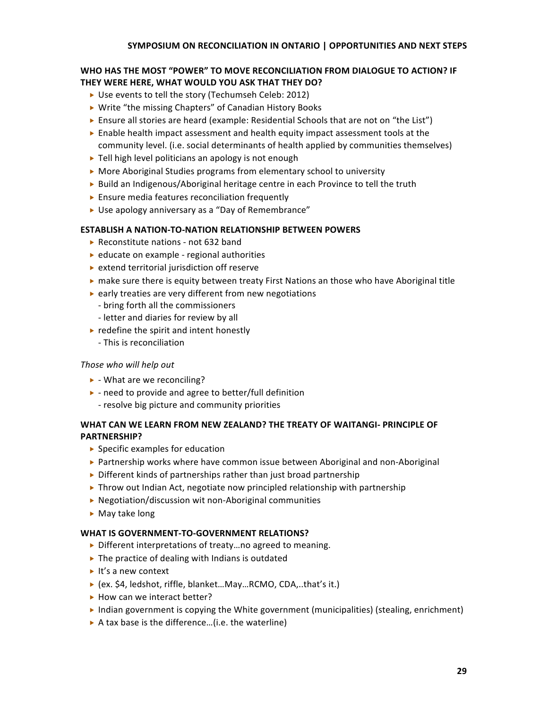## WHO HAS THE MOST "POWER" TO MOVE RECONCILIATION FROM DIALOGUE TO ACTION? IF THEY WERE HERE, WHAT WOULD YOU ASK THAT THEY DO?

- ▶ Use events to tell the story (Techumseh Celeb: 2012)
- ▶ Write "the missing Chapters" of Canadian History Books
- ► Ensure all stories are heard (example: Residential Schools that are not on "the List")
- **Enable health impact assessment and health equity impact assessment tools at the** community level. (i.e. social determinants of health applied by communities themselves)
- ▶ Tell high level politicians an apology is not enough
- ▶ More Aboriginal Studies programs from elementary school to university
- ► Build an Indigenous/Aboriginal heritage centre in each Province to tell the truth
- ▶ Ensure media features reconciliation frequently
- ▶ Use apology anniversary as a "Day of Remembrance"

## **ESTABLISH A NATION-TO-NATION RELATIONSHIP BETWEEN POWERS**

- ▶ Reconstitute nations not 632 band
- ▶ educate on example regional authorities
- ▶ extend territorial jurisdiction off reserve
- ► make sure there is equity between treaty First Nations an those who have Aboriginal title
- ▶ early treaties are very different from new negotiations
- ‐
bring
forth
all
the
commissioners
- ‐
letter
and
diaries
for
review
by
all
- $\blacktriangleright$  redefine the spirit and intent honestly
	- ‐
	This
	is
	reconciliation

## *Those
who
will
help
out*

- ▶ What are we reconciling?
- ▶ need to provide and agree to better/full definition
	- ‐
	resolve
	big
	picture
	and
	community
	priorities

## WHAT CAN WE LEARN FROM NEW ZEALAND? THE TREATY OF WAITANGI- PRINCIPLE OF **PARTNERSHIP?**

- ▶ Specific examples for education
- ▶ Partnership works where have common issue between Aboriginal and non-Aboriginal
- ▶ Different kinds of partnerships rather than just broad partnership
- ▶ Throw out Indian Act, negotiate now principled relationship with partnership
- ▶ Negotiation/discussion wit non-Aboriginal communities
- May
take
long

## WHAT IS GOVERNMENT-TO-GOVERNMENT RELATIONS?

- ▶ Different interpretations of treaty...no agreed to meaning.
- ▶ The practice of dealing with Indians is outdated
- ► It's a new context
- ▶ (ex. \$4, ledshot, riffle, blanket...May...RCMO, CDA,..that's it.)
- ▶ How can we interact better?
- Indian government is copying the White government (municipalities) (stealing, enrichment)
- ▶ A tax base is the difference...(i.e. the waterline)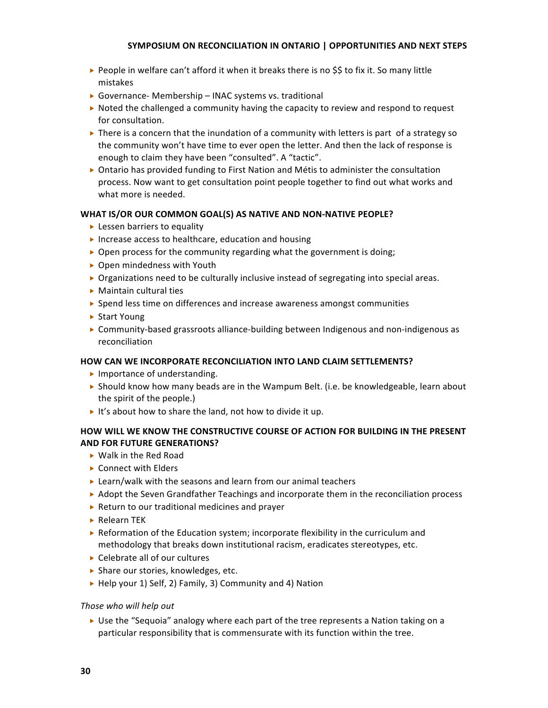- ► People in welfare can't afford it when it breaks there is no \$\$ to fix it. So many little mistakes
- ▶ Governance- Membership INAC systems vs. traditional
- ▶ Noted the challenged a community having the capacity to review and respond to request for
consultation.
- $\triangleright$  There is a concern that the inundation of a community with letters is part of a strategy so the
community
won't
have
time
to
ever
open
the
letter.
And
then
the
lack
of
response
is enough to claim they have been "consulted". A "tactic".
- ▶ Ontario has provided funding to First Nation and Métis to administer the consultation process. Now want to get consultation point people together to find out what works and what
more
is
needed.

#### WHAT IS/OR OUR COMMON GOAL(S) AS NATIVE AND NON-NATIVE PEOPLE?

- ▶ Lessen barriers to equality
- ▶ Increase access to healthcare, education and housing
- $\triangleright$  Open process for the community regarding what the government is doing;
- ▶ Open mindedness with Youth
- $\triangleright$  Organizations need to be culturally inclusive instead of segregating into special areas.
- Maintain
cultural
ties
- ▶ Spend less time on differences and increase awareness amongst communities
- ▶ Start Young
- ▶ Community-based grassroots alliance-building between Indigenous and non-indigenous as reconciliation

#### **HOW
CAN
WE
INCORPORATE
RECONCILIATION
INTO
LAND
CLAIM
SETTLEMENTS?**

- Importance of understanding.
- $\triangleright$  Should know how many beads are in the Wampum Belt. (i.e. be knowledgeable, learn about the
spirit
of
the
people.)
- It's about how to share the land, not how to divide it up.

## **HOW
WILL
WE
KNOW
THE
CONSTRUCTIVE
COURSE
OF
ACTION
FOR
BUILDING
IN
THE
PRESENT AND
FOR
FUTURE
GENERATIONS?**

- ► Walk in the Red Road
- ▶ Connect with Elders
- ▶ Learn/walk with the seasons and learn from our animal teachers
- ► Adopt the Seven Grandfather Teachings and incorporate them in the reconciliation process
- ▶ Return to our traditional medicines and prayer
- ▶ Relearn TEK
- Exercit Reformation of the Education system; incorporate flexibility in the curriculum and methodology that breaks down institutional racism, eradicates stereotypes, etc.
- ▶ Celebrate all of our cultures
- ▶ Share our stories, knowledges, etc.
- ▶ Help your 1) Self, 2) Family, 3) Community and 4) Nation

#### *Those
who
will
help
out*

► Use the "Sequoia" analogy where each part of the tree represents a Nation taking on a particular responsibility that is commensurate with its function within the tree.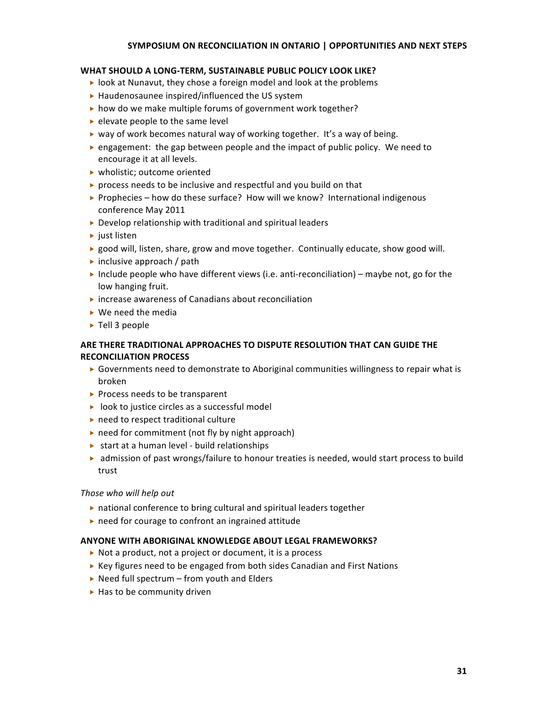#### WHAT SHOULD A LONG-TERM, SUSTAINABLE PUBLIC POLICY LOOK LIKE?

- ▶ look at Nunavut, they chose a foreign model and look at the problems
- ▶ Haudenosaunee inspired/influenced the US system
- ▶ how do we make multiple forums of government work together?
- $\blacktriangleright$  elevate people to the same level
- ► way of work becomes natural way of working together. It's a way of being.
- ▶ engagement: the gap between people and the impact of public policy. We need to encourage
it
at
all
levels.
- wholistic;
outcome
oriented
- ▶ process needs to be inclusive and respectful and you build on that
- ▶ Prophecies how do these surface? How will we know? International indigenous conference
May
2011
- ▶ Develop relationship with traditional and spiritual leaders
- $\blacktriangleright$  just listen
- ► good will, listen, share, grow and move together. Continually educate, show good will.
- inclusive approach / path
- Include people who have different views (i.e. anti-reconciliation) maybe not, go for the low
hanging
fruit.
- ▶ increase awareness of Canadians about reconciliation
- We need the media
- ▶ Tell 3 people

## ARE THERE TRADITIONAL APPROACHES TO DISPUTE RESOLUTION THAT CAN GUIDE THE **RECONCILIATION
PROCESS**

- ► Governments need to demonstrate to Aboriginal communities willingness to repair what is broken
- ▶ Process needs to be transparent
- ▶ look to justice circles as a successful model
- ► need to respect traditional culture
- ▶ need for commitment (not fly by night approach)
- ▶ start at a human level build relationships
- ► admission of past wrongs/failure to honour treaties is needed, would start process to build trust

#### *Those
who
will
help
out*

- ▶ national conference to bring cultural and spiritual leaders together
- ▶ need for courage to confront an ingrained attitude

#### **ANYONE
WITH
ABORIGINAL
KNOWLEDGE
ABOUT
LEGAL
FRAMEWORKS?**

- ▶ Not a product, not a project or document, it is a process
- ▶ Key figures need to be engaged from both sides Canadian and First Nations
- ▶ Need full spectrum from youth and Elders
- ▶ Has to be community driven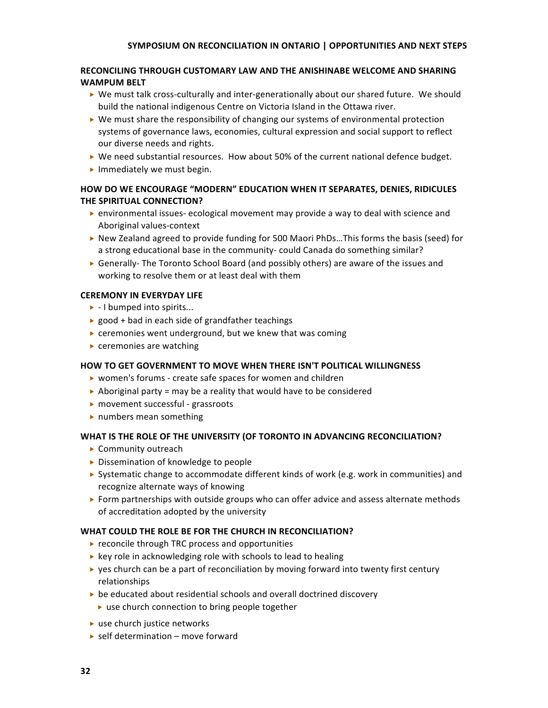## RECONCILING THROUGH CUSTOMARY LAW AND THE ANISHINABE WELCOME AND SHARING **WAMPUM
BELT**

- ▶ We must talk cross-culturally and inter-generationally about our shared future. We should build the national indigenous Centre on Victoria Island in the Ottawa river.
- $\triangleright$  We must share the responsibility of changing our systems of environmental protection systems of governance laws, economies, cultural expression and social support to reflect our
diverse
needs
and
rights.
- ▶ We need substantial resources. How about 50% of the current national defence budget.
- ▶ Immediately we must begin.

## HOW DO WE ENCOURAGE "MODERN" EDUCATION WHEN IT SEPARATES, DENIES, RIDICULES **THE
SPIRITUAL
CONNECTION?**

- ► environmental issues-ecological movement may provide a way to deal with science and Aboriginal
values‐context
- ► New Zealand agreed to provide funding for 500 Maori PhDs...This forms the basis (seed) for a strong educational base in the community-could Canada do something similar?
- ► Generally- The Toronto School Board (and possibly others) are aware of the issues and working to resolve them or at least deal with them

## **CEREMONY
IN
EVERYDAY
LIFE**

- ▶ I bumped into spirits...
- ▶ good + bad in each side of grandfather teachings
- ▶ ceremonies went underground, but we knew that was coming
- ceremonies
are
watching

## HOW TO GET GOVERNMENT TO MOVE WHEN THERE ISN'T POLITICAL WILLINGNESS

- ▶ women's forums create safe spaces for women and children
- $\triangleright$  Aboriginal party = may be a reality that would have to be considered
- ▶ movement successful grassroots
- ▶ numbers mean something

## WHAT IS THE ROLE OF THE UNIVERSITY (OF TORONTO IN ADVANCING RECONCILIATION?

- ▶ Community outreach
- ▶ Dissemination of knowledge to people
- ► Systematic change to accommodate different kinds of work (e.g. work in communities) and recognize
alternate
ways
of
knowing
- ▶ Form partnerships with outside groups who can offer advice and assess alternate methods of
accreditation
adopted
by
the
university

## WHAT COULD THE ROLE BE FOR THE CHURCH IN RECONCILIATION?

- ▶ reconcile through TRC process and opportunities
- ▶ key role in acknowledging role with schools to lead to healing
- $\triangleright$  yes church can be a part of reconciliation by moving forward into twenty first century relationships
- ▶ be educated about residential schools and overall doctrined discovery
	- ▶ use church connection to bring people together
- ► use church justice networks
- ► self determination move forward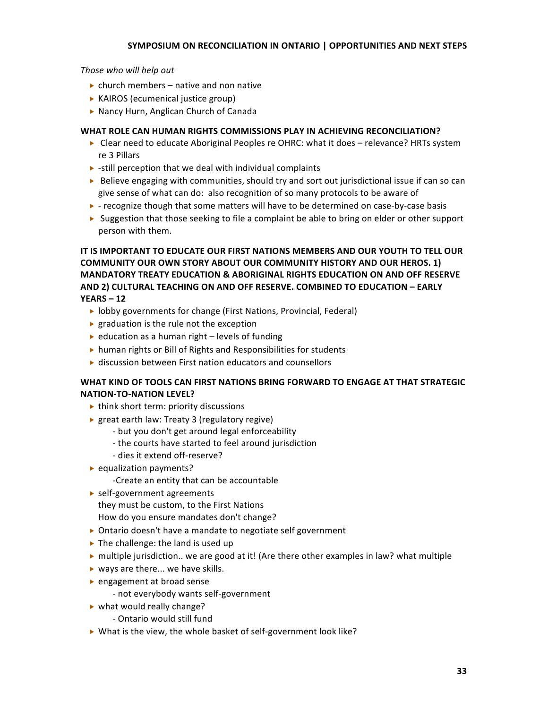*Those
who
will
help
out*

- $\triangleright$  church members native and non native
- ▶ KAIROS (ecumenical justice group)
- ▶ Nancy Hurn, Anglican Church of Canada

## WHAT ROLE CAN HUMAN RIGHTS COMMISSIONS PLAY IN ACHIEVING RECONCILIATION?

- ► Clear need to educate Aboriginal Peoples re OHRC: what it does relevance? HRTs system re
3
Pillars
- $\triangleright$  -still perception that we deal with individual complaints
- $\triangleright$  Believe engaging with communities, should try and sort out jurisdictional issue if can so can give
sense
of
what
can
do:

also
recognition
of
so
many
protocols
to
be
aware
of
- ► recognize though that some matters will have to be determined on case-by-case basis
- ► Suggestion that those seeking to file a complaint be able to bring on elder or other support person
with
them.

IT IS IMPORTANT TO EDUCATE OUR FIRST NATIONS MEMBERS AND OUR YOUTH TO TELL OUR COMMUNITY OUR OWN STORY ABOUT OUR COMMUNITY HISTORY AND OUR HEROS. 1) **MANDATORY TREATY EDUCATION & ABORIGINAL RIGHTS EDUCATION ON AND OFF RESERVE** AND 2) CULTURAL TEACHING ON AND OFF RESERVE. COMBINED TO EDUCATION - EARLY **YEARS
–
12**

- ▶ lobby governments for change (First Nations, Provincial, Federal)
- $\blacktriangleright$  graduation is the rule not the exception
- $\blacktriangleright$  education as a human right levels of funding
- ▶ human rights or Bill of Rights and Responsibilities for students
- ▶ discussion between First nation educators and counsellors

## WHAT KIND OF TOOLS CAN FIRST NATIONS BRING FORWARD TO ENGAGE AT THAT STRATEGIC **NATION‐TO‐NATION
LEVEL?**

- ▶ think short term: priority discussions
- ▶ great earth law: Treaty 3 (regulatory regive)
	- ‐
	but
	you
	don't
	get
	around
	legal
	enforceability
	- ‐
	the
	courts
	have
	started
	to
	feel
	around
	jurisdiction
	- ‐
	dies
	it
	extend
	off‐reserve?
- ▶ equalization payments?
	- ‐Create
	an
	entity
	that
	can
	be
	accountable
- ▶ self-government agreements

they
must
be
custom,
to
the
First
Nations

- How
do
you
ensure
mandates
don't
change?
- Ontario
doesn't
have
a
mandate
to
negotiate
self
government
- In The challenge: the land is used up
- ► multiple jurisdiction.. we are good at it! (Are there other examples in law? what multiple
- ▶ ways are there... we have skills.
- ► engagement at broad sense
	- ‐
	not
	everybody
	wants
	self‐government
- ▶ what would really change?
	- ‐
	Ontario
	would
	still
	fund
- ▶ What is the view, the whole basket of self-government look like?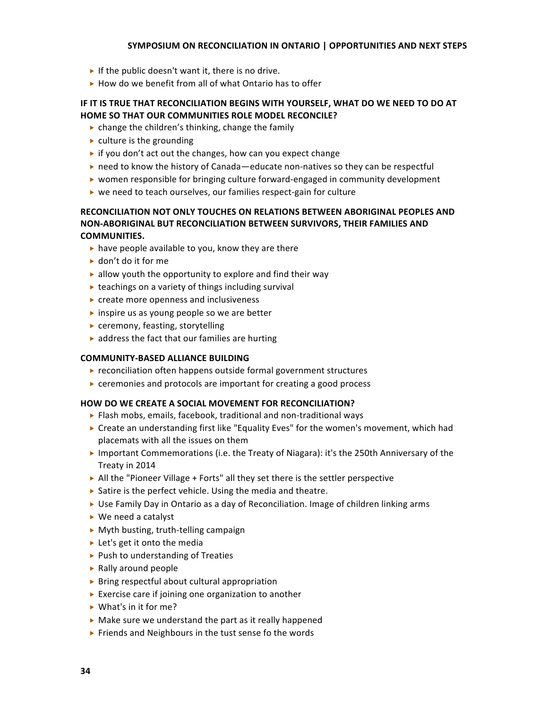- If the public doesn't want it, there is no drive.
- ▶ How do we benefit from all of what Ontario has to offer

## IF IT IS TRUE THAT RECONCILIATION BEGINS WITH YOURSELF, WHAT DO WE NEED TO DO AT HOME SO THAT OUR COMMUNITIES ROLE MODEL RECONCILE?

- $\triangleright$  change the children's thinking, change the family
- $\blacktriangleright$  culture is the grounding
- $\triangleright$  if you don't act out the changes, how can you expect change
- ► need to know the history of Canada—educate non-natives so they can be respectful
- ► women responsible for bringing culture forward-engaged in community development
- ▶ we need to teach ourselves, our families respect-gain for culture

## RECONCILIATION NOT ONLY TOUCHES ON RELATIONS BETWEEN ABORIGINAL PEOPLES AND NON-ABORIGINAL BUT RECONCILIATION BETWEEN SURVIVORS, THEIR FAMILIES AND **COMMUNITIES.**

- ▶ have people available to you, know they are there
- ► don't do it for me
- $\blacktriangleright$  allow youth the opportunity to explore and find their way
- ▶ teachings on a variety of things including survival
- ▶ create more openness and inclusiveness
- ► inspire us as young people so we are better
- ▶ ceremony, feasting, storytelling
- ▶ address the fact that our families are hurting

#### **COMMUNITY‐BASED
ALLIANCE
BUILDING**

- ▶ reconciliation often happens outside formal government structures
- ▶ ceremonies and protocols are important for creating a good process

#### HOW DO WE CREATE A SOCIAL MOVEMENT FOR RECONCILIATION?

- ▶ Flash mobs, emails, facebook, traditional and non-traditional ways
- ▶ Create an understanding first like "Equality Eves" for the women's movement, which had placemats
with
all
the
issues
on
them
- ▶ Important Commemorations (i.e. the Treaty of Niagara): it's the 250th Anniversary of the Treaty
in
2014
- ▶ All the "Pioneer Village + Forts" all they set there is the settler perspective
- ▶ Satire is the perfect vehicle. Using the media and theatre.
- ► Use Family Day in Ontario as a day of Reconciliation. Image of children linking arms
- ▶ We need a catalyst
- ▶ Myth busting, truth-telling campaign
- ► Let's get it onto the media
- ▶ Push to understanding of Treaties
- ▶ Rally around people
- ▶ Bring respectful about cultural appropriation
- ▶ Exercise care if joining one organization to another
- ▶ What's in it for me?
- ▶ Make sure we understand the part as it really happened
- ▶ Friends and Neighbours in the tust sense fo the words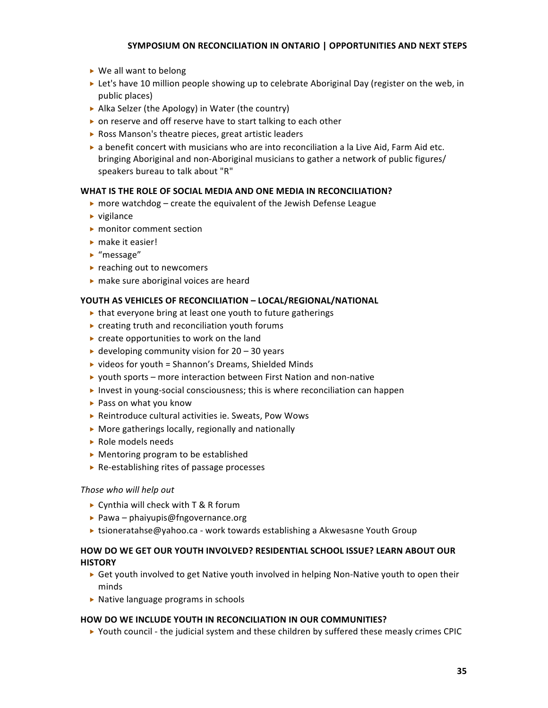- ► We all want to belong
- ► Let's have 10 million people showing up to celebrate Aboriginal Day (register on the web, in public
places)
- ▶ Alka Selzer (the Apology) in Water (the country)
- ▶ on reserve and off reserve have to start talking to each other
- ▶ Ross Manson's theatre pieces, great artistic leaders
- ▶ a benefit concert with musicians who are into reconciliation a la Live Aid, Farm Aid etc. bringing Aboriginal and non-Aboriginal musicians to gather a network of public figures/ speakers bureau to talk about "R"

## WHAT IS THE ROLE OF SOCIAL MEDIA AND ONE MEDIA IN RECONCILIATION?

- $\triangleright$  more watchdog create the equivalent of the Jewish Defense League
- $\blacktriangleright$  vigilance
- ▶ monitor comment section
- ▶ make it easier!
- ► "message"
- ▶ reaching out to newcomers
- ▶ make sure aboriginal voices are heard

## YOUTH AS VEHICLES OF RECONCILIATION - LOCAL/REGIONAL/NATIONAL

- that everyone bring at least one youth to future gatherings
- ▶ creating truth and reconciliation youth forums
- ▶ create opportunities to work on the land
- $\blacktriangleright$  developing community vision for 20 30 years
- ▶ videos for youth = Shannon's Dreams, Shielded Minds
- ▶ youth sports more interaction between First Nation and non-native
- ► Invest in young-social consciousness; this is where reconciliation can happen
- ▶ Pass on what you know
- ▶ Reintroduce cultural activities ie. Sweats, Pow Wows
- ▶ More gatherings locally, regionally and nationally
- ▶ Role models needs
- ▶ Mentoring program to be established
- ▶ Re-establishing rites of passage processes

## *Those
who
will
help
out*

- ▶ Cynthia will check with T & R forum
- ▶ Pawa phaiyupis@fngovernance.org
- ► tsioneratahse@yahoo.ca work towards establishing a Akwesasne Youth Group

## HOW DO WE GET OUR YOUTH INVOLVED? RESIDENTIAL SCHOOL ISSUE? LEARN ABOUT OUR **HISTORY**

- ► Get youth involved to get Native youth involved in helping Non-Native youth to open their minds
- ▶ Native language programs in schools

## HOW DO WE INCLUDE YOUTH IN RECONCILIATION IN OUR COMMUNITIES?

▶ Youth council - the judicial system and these children by suffered these measly crimes CPIC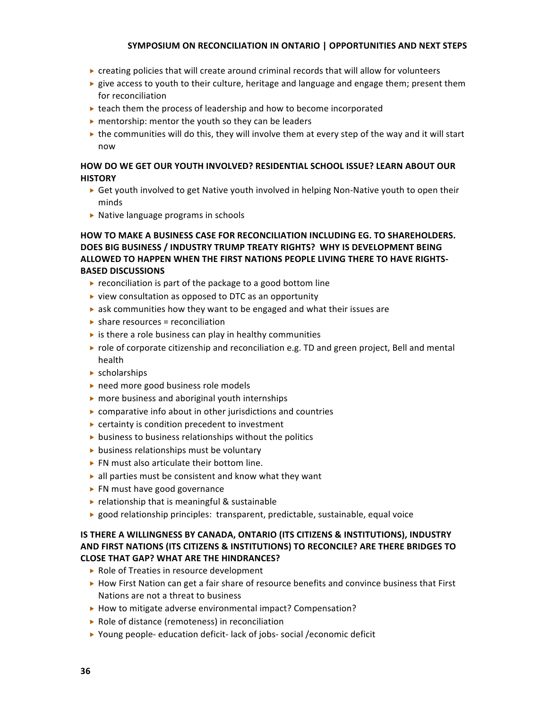- $\triangleright$  creating policies that will create around criminal records that will allow for volunteers
- $\blacktriangleright$  give access to youth to their culture, heritage and language and engage them; present them for
reconciliation
- $\triangleright$  teach them the process of leadership and how to become incorporated
- $\triangleright$  mentorship: mentor the youth so they can be leaders
- $\triangleright$  the communities will do this, they will involve them at every step of the way and it will start now

## HOW DO WE GET OUR YOUTH INVOLVED? RESIDENTIAL SCHOOL ISSUE? LEARN ABOUT OUR **HISTORY**

- ► Get youth involved to get Native youth involved in helping Non-Native youth to open their minds
- ▶ Native language programs in schools

## HOW TO MAKE A BUSINESS CASE FOR RECONCILIATION INCLUDING EG. TO SHAREHOLDERS. DOES BIG BUSINESS / INDUSTRY TRUMP TREATY RIGHTS? WHY IS DEVELOPMENT BEING ALLOWED TO HAPPEN WHEN THE FIRST NATIONS PEOPLE LIVING THERE TO HAVE RIGHTS-**BASED
DISCUSSIONS**

- $\triangleright$  reconciliation is part of the package to a good bottom line
- ▶ view consultation as opposed to DTC as an opportunity
- ▶ ask communities how they want to be engaged and what their issues are
- $\triangleright$  share resources = reconciliation
- $\triangleright$  is there a role business can play in healthy communities
- $\triangleright$  role of corporate citizenship and reconciliation e.g. TD and green project, Bell and mental health
- scholarships
- ▶ need more good business role models
- ▶ more business and aboriginal youth internships
- $\triangleright$  comparative info about in other jurisdictions and countries
- ▶ certainty is condition precedent to investment
- **business to business relationships without the politics**
- $\triangleright$  business relationships must be voluntary
- ▶ FN must also articulate their bottom line.
- all parties must be consistent and know what they want
- ▶ FN must have good governance
- ▶ relationship that is meaningful & sustainable
- ► good relationship principles: transparent, predictable, sustainable, equal voice

## **IS THERE A WILLINGNESS BY CANADA, ONTARIO (ITS CITIZENS & INSTITUTIONS), INDUSTRY** AND FIRST NATIONS (ITS CITIZENS & INSTITUTIONS) TO RECONCILE? ARE THERE BRIDGES TO **CLOSE
THAT
GAP?
WHAT
ARE
THE
HINDRANCES?**

- ▶ Role of Treaties in resource development
- ▶ How First Nation can get a fair share of resource benefits and convince business that First Nations are not a threat to business
- ▶ How to mitigate adverse environmental impact? Compensation?
- ▶ Role of distance (remoteness) in reconciliation
- ▶ Young people- education deficit-lack of jobs- social / economic deficit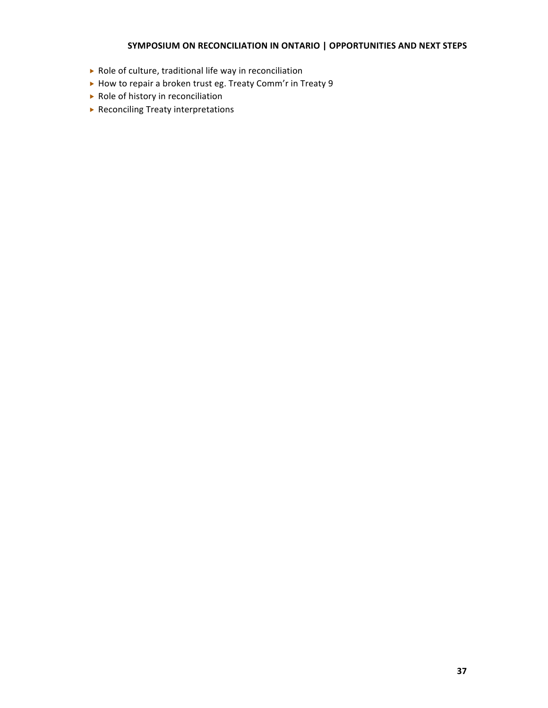- ▶ Role of culture, traditional life way in reconciliation
- ▶ How to repair a broken trust eg. Treaty Comm'r in Treaty 9
- ▶ Role of history in reconciliation
- ▶ Reconciling Treaty interpretations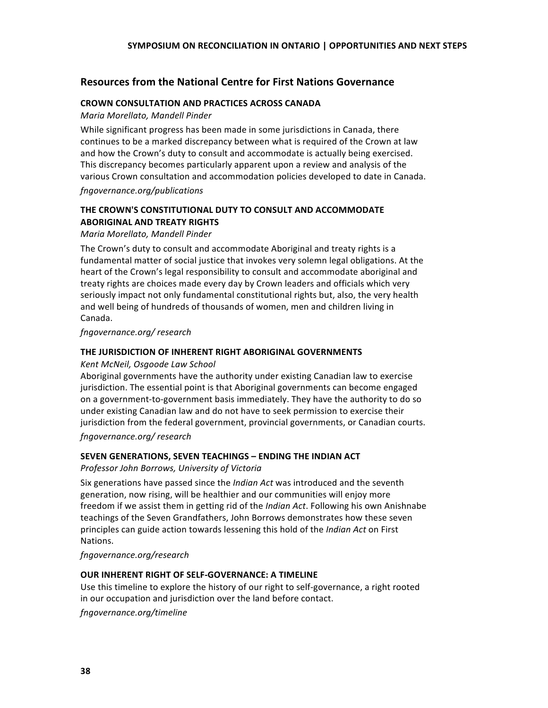## **Resources
from
the
National
Centre
for
First
Nations
Governance**

#### **CROWN
CONSULTATION
AND
PRACTICES
ACROSS
CANADA**

*Maria
Morellato,
Mandell
Pinder*

While significant progress has been made in some jurisdictions in Canada, there continues to be a marked discrepancy between what is required of the Crown at law and
how
the
Crown's
duty
to
consult
and
accommodate
is
actually
being
exercised. This
discrepancy
becomes
particularly
apparent
upon
a
review
and
analysis
of
the various
Crown
consultation
and
accommodation
policies
developed
to
date
in
Canada.

*fngovernance.org/publications*

## THE CROWN'S CONSTITUTIONAL DUTY TO CONSULT AND ACCOMMODATE **ABORIGINAL
AND
TREATY
RIGHTS**

*Maria
Morellato,
Mandell
Pinder*

The Crown's duty to consult and accommodate Aboriginal and treaty rights is a fundamental matter of social justice that invokes very solemn legal obligations. At the heart of the Crown's legal responsibility to consult and accommodate aboriginal and treaty
rights
are
choices
made
every
day
by
Crown
leaders
and
officials
which
very seriously impact not only fundamental constitutional rights but, also, the very health and
well
being
of
hundreds
of
thousands
of
women,
men
and
children
living
in Canada.

*fngovernance.org/
research*

#### THE JURISDICTION OF INHERENT RIGHT ABORIGINAL GOVERNMENTS

*Kent
McNeil,
Osgoode
Law
School*

Aboriginal governments have the authority under existing Canadian law to exercise jurisdiction. The essential point is that Aboriginal governments can become engaged on
a
government‐to‐government
basis
immediately.
They
have
the
authority
to
do
so under
existing
Canadian
law
and
do
not
have
to
seek
permission
to
exercise
their jurisdiction from the federal government, provincial governments, or Canadian courts.

*fngovernance.org/
research*

## SEVEN GENERATIONS, SEVEN TEACHINGS - ENDING THE INDIAN ACT

*Professor
John
Borrows,
University
of
Victoria*

Six generations have passed since the *Indian Act* was introduced and the seventh generation, now rising, will be healthier and our communities will enjoy more freedom if we assist them in getting rid of the *Indian Act*. Following his own Anishnabe teachings
of
the
Seven
Grandfathers,
John
Borrows
demonstrates
how
these
seven principles can guide action towards lessening this hold of the *Indian Act* on First Nations.

*fngovernance.org/research*

## **OUR INHERENT RIGHT OF SELF-GOVERNANCE: A TIMELINE**

Use this timeline to explore the history of our right to self-governance, a right rooted in our occupation and jurisdiction over the land before contact.

*fngovernance.org/timeline*